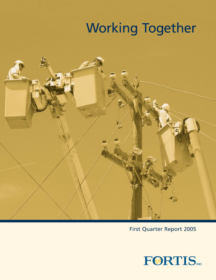# **Working Together**



**First Quarter Report 2005** 

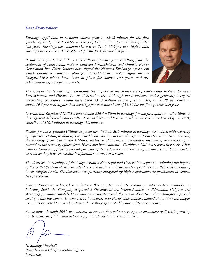#### *Dear Shareholder:*

*Earnings applicable to common shares grew to \$39.2 million for the first quarter of 2005, almost double earnings of \$20.3 million for the same quarter last year. Earnings per common share were \$1.60, 37.9 per cent higher than earnings per common share of \$1.16 for the first quarter last year.* 

*Results this quarter include a \$7.9 million after-tax gain resulting from the settlement of contractual matters between FortisOntario and Ontario Power Generation Inc. FortisOntario also signed the Niagara Exchange Agreement which details a transition plan for FortisOntario's water rights on the Niagara River which have been in place for almost 100 years and are scheduled to expire April 30, 2009.* 



*The Corporation's earnings, excluding the impact of the settlement of contractual matters between FortisOntario and Ontario Power Generation Inc., although not a measure under generally accepted accounting principles, would have been \$31.3 million in the first quarter, or \$1.28 per common share, 10.3 per cent higher than earnings per common share of \$1.16 for the first quarter last year.* 

*Overall, our Regulated Utilities contributed \$36.4 million in earnings for the first quarter. All utilities in this segment delivered solid results. FortisAlberta and FortisBC, which were acquired on May 31, 2004, contributed \$16.7 million to earnings this quarter.* 

*Results for the Regulated Utilities segment also include \$0.7 million in earnings associated with recovery of expenses relating to damages to Caribbean Utilities in Grand Cayman from Hurricane Ivan. Overall, the earnings from Caribbean Utilities, inclusive of business interruption insurance, are returning to normal as the recovery efforts from Hurricane Ivan continue. Caribbean Utilities reports that service has been restored to approximately 84 per cent of its customers and remaining customers will be connected as soon as they have re-established facilities to receive service.* 

*The decrease in earnings of the Corporation's Non-regulated Generation segment, excluding the impact of the OPGI Settlement, was mainly due to the decline in hydroelectric production in Belize as a result of lower rainfall levels. The decrease was partially mitigated by higher hydroelectric production in central Newfoundland.* 

*Fortis Properties achieved a milestone this quarter with its expansion into western Canada. In February 2005, the Company acquired 3 Greenwood Inn-branded hotels in Edmonton, Calgary and Winnipeg for approximately \$62.6 million. Consistent with the vision of Fortis and our long-term growth strategy, this investment is expected to be accretive to Fortis shareholders immediately. Over the longer term, it is expected to provide returns above those generated by our utility investments.* 

*As we move through 2005, we continue to remain focused on serving our customers well while growing our business profitably and delivering good returns to our shareholders.* 

*H. Stanley Marshall President and Chief Executive Officer Fortis Inc.*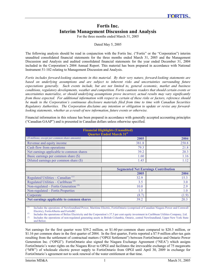## **Fortis Inc. Interim Management Discussion and Analysis**

For the three months ended March 31, 2005

Dated May 5, 2005

The following analysis should be read in conjunction with the Fortis Inc. ("Fortis" or the "Corporation") interim unaudited consolidated financial statements for the three months ended March 31, 2005 and the Management Discussion and Analysis and audited consolidated financial statements for the year ended December 31, 2004 included in the Corporation's 2004 Annual Report. This material has been prepared in accordance with National Instrument 51-102 relating to Management Discussion and Analysis.

*Fortis includes forward-looking statements in this material. By their very nature, forward-looking statements are based on underlying assumptions and are subject to inherent risks and uncertainties surrounding future expectations generally. Such events include, but are not limited to, general economic, market and business conditions, regulatory developments, weather and competition. Fortis cautions readers that should certain events or uncertainties materialize, or should underlying assumptions prove incorrect, actual results may vary significantly from those expected. For additional information with respect to certain of these risks or factors, reference should be made to the Corporation's continuous disclosure materials filed from time to time with Canadian Securities Regulatory Authorities. The Corporation disclaims any intention or obligation to update or revise any forwardlooking statements, whether as a result of new information, future events or otherwise.* 

Financial information in this release has been prepared in accordance with generally accepted accounting principles ("Canadian GAAP") and is presented in Canadian dollars unless otherwise specified.

| <b>Financial Highlights (Unaudited)</b><br><b>Quarter Ended March 31st</b>                                                               |                                            |       |  |
|------------------------------------------------------------------------------------------------------------------------------------------|--------------------------------------------|-------|--|
| (\$ millions, except per common share amounts)                                                                                           | 2005                                       | 2004  |  |
| Revenue and equity income                                                                                                                | 381.8                                      | 250.8 |  |
| Cash flow from operations                                                                                                                | 79.3                                       | 21.8  |  |
| Net earnings applicable to common shares                                                                                                 | 39.2                                       | 20.3  |  |
| Basic earnings per common share (\$)                                                                                                     | 1.60                                       | 1.16  |  |
| Diluted earnings per common share (\$)                                                                                                   | 1.45                                       | 1.12  |  |
|                                                                                                                                          |                                            |       |  |
|                                                                                                                                          | <b>Segmented Net Earnings Contribution</b> |       |  |
|                                                                                                                                          | 2005                                       | 2004  |  |
| Regulated Utilities – Canadian <sup>(1)</sup>                                                                                            | 32.9                                       | 15.3  |  |
| Regulated Utilities – Caribbean <sup><math>(2)</math></sup>                                                                              | 3.5                                        | 3.0   |  |
| Non-regulated – Fortis Generation <sup>(3)</sup>                                                                                         | 10.0                                       | 2.9   |  |
| Non-regulated – Fortis Properties                                                                                                        | 1.5                                        | 1.0   |  |
| Corporate                                                                                                                                | (8.7)                                      | (1.9) |  |
| Net earnings applicable to common shares                                                                                                 | 39.2                                       | 20.3  |  |
| (1)<br>Includes the operations of Newfoundland Power, Maritime Electric, FortisOntario (comprised of Canadian Niagara Power and Cornwall |                                            |       |  |

Electric), FortisAlberta and FortisBC.

(2) Includes the operations of Belize Electricity and the Corporation's 37.3 per cent equity investment in Caribbean Utilities Company, Ltd.

Includes the operations of non-regulated generating assets in British Columbia, Ontario, central Newfoundland, Upper New York State and Belize.

Net earnings for the first quarter were \$39.2 million, or \$1.60 per common share compared to \$20.3 million, or \$1.16 per common share in the first quarter of 2004. In the first quarter, Fortis reported a \$7.9 million after-tax gain resulting from the settlement of contractual matters ("OPGI Settlement") between FortisOntario and Ontario Power Generation Inc. ("OPGI"). FortisOntario also signed the Niagara Exchange Agreement ("NEA") which assigns FortisOntario's water rights on the Niagara River to OPGI and facilitates the irrevocable exchange of 75 megawatts ("MW") of wholesale electric power supply to FortisOntario from OPGI until April 30, 2009 in exchange for FortisOntario's agreement not to seek renewal of the water entitlement at that time.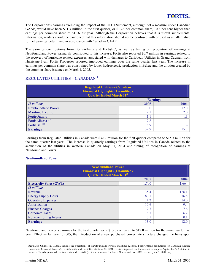The Corporation's earnings excluding the impact of the OPGI Settlement, although not a measure under Canadian GAAP, would have been \$31.3 million in the first quarter, or \$1.28 per common share, 10.3 per cent higher than earnings per common share of \$1.16 last year. Although the Corporation believes that it is useful supplemental information, readers should be cautioned that this information should not be confused with or used as an alternative for net earnings determined in accordance with Canadian GAAP.

The earnings contributions from FortisAlberta and FortisBC, as well as timing of recognition of earnings at Newfoundland Power, primarily contributed to this increase. Fortis also reported \$0.7 million in earnings related to the recovery of hurricane-related expenses, associated with damages to Caribbean Utilities in Grand Cayman from Hurricane Ivan. Fortis Properties reported improved earnings over the same quarter last year. The increase in earnings per common share was constrained by lower hydroelectric production in Belize and the dilution created by the common share issuance on March 1, 2005.

## **REGULATED UTILITIES – CANADIAN <sup>1</sup>**

| <b>Regulated Utilities - Canadian</b><br><b>Financial Highlights (Unaudited)</b><br><b>Quarter Ended March 31st</b> |      |                 |  |
|---------------------------------------------------------------------------------------------------------------------|------|-----------------|--|
|                                                                                                                     |      | <b>Earnings</b> |  |
| (\$ millions)                                                                                                       | 2005 | 2004            |  |
| <b>Newfoundland Power</b>                                                                                           | 13.0 | 12.0            |  |
| Maritime Electric                                                                                                   | 2.1  | 2.0             |  |
| FortisOntario                                                                                                       | 1.1  | 1.3             |  |
| FortisAlberta <sup>(1)</sup>                                                                                        | 7.8  |                 |  |
| FortisBC <sup>(1)</sup>                                                                                             | 8.9  |                 |  |
| <b>Earnings</b>                                                                                                     | 32.9 | 15.3            |  |

Earnings from Regulated Utilities in Canada were \$32.9 million for the first quarter compared to \$15.3 million for the same quarter last year. The increase in quarterly earnings from Regulated Utilities in Canada related to the acquisition of the utilities in western Canada on May 31, 2004 and timing of recognition of earnings at Newfoundland Power.

## **Newfoundland Power**

| <b>Newfoundland Power</b><br><b>Financial Highlights (Unaudited)</b><br><b>Quarter Ended March 31st</b> |       |       |  |  |
|---------------------------------------------------------------------------------------------------------|-------|-------|--|--|
| 2005<br>2004                                                                                            |       |       |  |  |
| <b>Electricity Sales (GWh)</b>                                                                          | 1,700 | 1.664 |  |  |
| (\$ millions)                                                                                           |       |       |  |  |
| Revenue                                                                                                 | 135.4 | 126.1 |  |  |
| <b>Energy Supply Costs</b>                                                                              | 83.1  | 76.8  |  |  |
| <b>Operating Expenses</b>                                                                               | 14.2  | 14.0  |  |  |
| Amortization                                                                                            | 10.6  | 9.4   |  |  |
| <b>Finance Charges</b>                                                                                  | 7.7   | 7.6   |  |  |
| <b>Corporate Taxes</b>                                                                                  | 6.7   | 6.2   |  |  |
| Non-controlling Interest                                                                                | 0.1   | 0.1   |  |  |
| <b>Earnings</b>                                                                                         | 13.0  | 12.0  |  |  |

Newfoundland Power's earnings for the first quarter were \$13.0 compared to \$12.0 million for the same quarter last year. Effective January 1, 2005, the introduction of a new purchased power rate structure changed the basis upon

<sup>1</sup> Regulated Utilities in Canada include the operations of Newfoundland Power, Maritime Electric, FortisOntario (comprised of Canadian Niagara Power and Cornwall Electric), FortisAlberta and FortisBC. On May 31, 2004, Fortis completed the transaction to acquire Aquila, Inc.'s 2 utilities in western Canada (renamed FortisAlberta and FortisBC). Financial results for FortisAlberta and FortisBC are since June 1, 2004 only.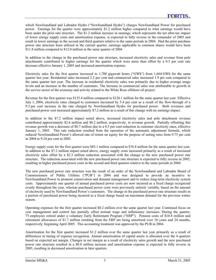which Newfoundland and Labrador Hydro ("Newfoundland Hydro") charges Newfoundland Power for purchased power. Earnings for the quarter were approximately \$1.2 million higher compared to what earnings would have been under the prior rate structure. The \$1.2 million increase in earnings, which represents the net after-tax impact of lower energy supply costs and amortization expense, is expected to fully reverse in the remainder of 2005 and result in lower earnings in the second and third quarters relative to the same periods in 2004. Had the prior purchase power rate structure been utilized in the current quarter, earnings applicable to common shares would have been \$11.8 million compared to \$12.0 million in the same quarter of 2004.

In addition to the change in the purchased power rate structure, increased electricity sales and revenue from pole attachments contributed to higher earnings for the quarter which were more than offset by a 0.5 per cent rate decrease effective January 1, 2005 and increased amortization expense.

Electricity sales for the first quarter increased to 1,700 gigawatt hours ("GWh") from 1,664 GWh for the same quarter last year. Residential sales increased 2.2 per cent and commercial sales increased 1.9 per cent compared to the same quarter last year. The increase in residential electricity sales was primarily due to higher average usage levels and an increase in the number of customers. The increase in commercial sales was attributable to growth in the service sector of the economy and activity related to the White Rose offshore oil project.

Revenue for the first quarter was \$135.4 million compared to \$126.1 million for the same quarter last year. Effective July 1, 2004, electricity rates charged to customers increased by 5.4 per cent as a result of the flow-through of a 9.3 per cent increase in the rate charged by Newfoundland Hydro for purchased power. Both revenues and purchased power cost increased approximately \$7.2 million as a result of this change with no earnings impact.

In addition to the \$7.2 million impact noted above, increased electricity sales and pole attachment revenue contributed approximately \$2.6 million and \$0.2 million, respectively, to revenue growth. Partially offsetting this revenue growth was a decrease of \$0.7 million due to a 0.5 per cent reduction in customer electricity rates, effective January 1, 2005. This rate reduction resulted from the operation of the automatic adjustment formula, which reduced Newfoundland Power's allowed rate of return on equity for the purpose of setting rates from 9.75 per cent in 2004 to 9.24 per cent in 2005.

Energy supply costs for the first quarter were \$83.1 million compared to \$76.8 million for the same quarter last year. In addition to the \$7.2 million impact noted above, energy supply costs increased primarily as a result of increased electricity sales offset by a \$2.3 million reduction associated with the change to the new purchased power rate structure. The reduction associated with the new purchased power rate structure is expected to fully reverse in 2005, resulting in higher purchased power costs in the second and third quarters relative to the same periods in 2004.

The new purchased power rate structure was the result of an order of the Newfoundland and Labrador Board of Commissioners of Public Utilities ("PUB") in 2004 and was designed to provide an incentive to Newfoundland Power to promote conservation and demand management and to reduce long-term electricity system costs. Approximately one quarter of annual purchased power costs are now incurred as a fixed charge recognized evenly throughout the year, whereas purchased power costs were previously entirely variable, based on the amount of electricity used by Newfoundland Power's customers. The change in the purchased power rate structure results in a portion of purchased power being incurred as a fixed charge based on maximum demand for the previous winter season.

Operating expenses for the first quarter increased \$0.2 million over the same quarter last year. Continued focus on cost management and control has partially offset normal wage and inflationary increases. During the quarter, 75 employees retired under a voluntary Early Retirement Program ("ERP"). Pension costs of \$10.8 million and retirement allowances of \$1.7 million resulting from the ERP are being amortized over 10 years and 24 months, respectively, beginning April 2005. This accounting treatment was approved by the PUB in 2004.

Amortization for the first quarter increased \$1.2 million over the same quarter last year primarily as a result of differences in timing of expense recognition. Annual amortization of capital assets is allocated over the 4 quarters based on expected net margin. Changes in net margin as a result of electricity sales growth and the new purchased power rate structure resulted in a \$0.8 million increase and amortization expense is expected to fully reverse in 2005, resulting in decreased amortization in later quarters.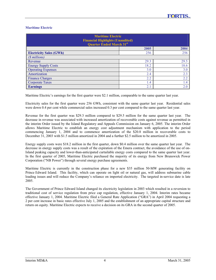## **Maritime Electric**

| <b>Maritime Electric</b><br><b>Financial Highlights (Unaudited)</b><br><b>Quarter Ended March 31st</b> |      |      |  |
|--------------------------------------------------------------------------------------------------------|------|------|--|
|                                                                                                        | 2005 | 2004 |  |
| <b>Electricity Sales (GWh)</b>                                                                         | 256  | 256  |  |
| (\$ millions)                                                                                          |      |      |  |
| Revenue                                                                                                | 29.3 | 29.5 |  |
| <b>Energy Supply Costs</b>                                                                             | 18.2 | 18.6 |  |
| <b>Operating Expenses</b>                                                                              | 3.0  | 3.0  |  |
| Amortization                                                                                           | 2.4  | 2.3  |  |
| <b>Finance Charges</b>                                                                                 | 2.2  | 2.2  |  |
| <b>Corporate Taxes</b>                                                                                 | 1.4  | 1.4  |  |
| <b>Earnings</b>                                                                                        | 2.1  | 2.0  |  |

Maritime Electric's earnings for the first quarter were \$2.1 million, comparable to the same quarter last year.

Electricity sales for the first quarter were 256 GWh, consistent with the same quarter last year. Residential sales were down 0.4 per cent while commercial sales increased 0.3 per cent compared to the same quarter last year.

Revenue for the first quarter was \$29.3 million compared to \$29.5 million for the same quarter last year. The decrease in revenue was associated with increased amortization of recoverable costs against revenue as permitted in the interim Order issued by the Island Regulatory and Appeals Commission on January 6, 2005. The interim Order allows Maritime Electric to establish an energy cost adjustment mechanism with application to the period commencing January 1, 2004 and to commence amortization of the \$20.8 million in recoverable costs to December 31, 2003 with \$1.5 million amortized in 2004 and a further \$2.5 million to be amortized in 2005.

Energy supply costs were \$18.2 million in the first quarter, down \$0.4 million over the same quarter last year. The decrease in energy supply costs was a result of the expiration of the Emera contract, the avoidance of the use of on-Island peaking capacity and lower-than-anticipated curtailable energy costs compared to the same quarter last year. In the first quarter of 2005, Maritime Electric purchased the majority of its energy from New Brunswick Power Corporation ("NB Power") through several energy purchase agreements.

Maritime Electric is currently in the construction phase for a new \$35 million 50-MW generating facility on Prince Edward Island. This facility, which can operate on light oil or natural gas, will address submarine cable loading issues and will reduce the Company's reliance on imported electricity. The targeted in-service date is late 2005.

The Government of Prince Edward Island changed its electricity legislation in 2003 which resulted in a reversion to traditional cost of service regulation from price cap regulation, effective January 1, 2004. Interim rates became effective January 1, 2004. Maritime Electric filed a General Rate Application ("GRA") in April 2004 requesting a 2 per cent increase in basic rates effective July 1, 2005 and the establishment of an appropriate capital structure and return on equity. Maritime Electric expects to receive a decision on its GRA in the second quarter of 2005.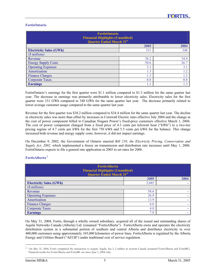## **FortisOntario**

| <b>FortisOntario</b><br><b>Financial Highlights (Unaudited)</b><br><b>Quarter Ended March 31st</b> |      |      |  |
|----------------------------------------------------------------------------------------------------|------|------|--|
|                                                                                                    | 2005 | 2004 |  |
| <b>Electricity Sales (GWh)</b>                                                                     | 331  | 348  |  |
| (\$ millions)                                                                                      |      |      |  |
| Revenue                                                                                            | 38.2 | 34.4 |  |
| <b>Energy Supply Costs</b>                                                                         | 30.6 | 26.7 |  |
| <b>Operating Expenses</b>                                                                          | 3.1  | 3.1  |  |
| Amortization                                                                                       | 1.3  | 1.2  |  |
| <b>Finance Charges</b>                                                                             | 1.3  | 1.3  |  |
| <b>Corporate Taxes</b>                                                                             | 0.8  | 0.8  |  |
| <b>Earnings</b>                                                                                    | 1.1  | 1.3  |  |

FortisOntario's earnings for the first quarter were \$1.1 million compared to \$1.3 million for the same quarter last year. The decrease in earnings was primarily attributable to lower electricity sales. Electricity sales for the first quarter were 331 GWh compared to 348 GWh for the same quarter last year. The decrease primarily related to lower average customer usage compared to the same quarter last year.

Revenue for the first quarter was \$38.2 million compared to \$34.4 million for the same quarter last year. The decline in electricity sales was more than offset by increases in Cornwall Electric rates effective July 2004 and the change in the cost of power component billed to Canadian Niagara Power's fixed-price customers effective March 1, 2004. The cost of power component changed from a fixed price of 4.3 cents per kilowatt hour ("kWh") to a two-tier pricing regime of 4.7 cents per kWh for the first 750 kWh and 5.5 cents per kWh for the balance. This change increased both revenue and energy supply costs; however, it did not impact earnings.

On December 9, 2002, the Government of Ontario enacted *Bill 210, the Electricity Pricing, Conservation and Supply Act, 2002,* which implemented a freeze on transmission and distribution rate increases until May 1, 2006. FortisOntario expects to file a general rate application in 2005 to set rates for 2006.

| <b>FortisAlberta</b><br><b>Financial Highlights (Unaudited)</b><br><b>Quarter Ended March 31st</b> |       |      |  |
|----------------------------------------------------------------------------------------------------|-------|------|--|
|                                                                                                    | 2005  | 2004 |  |
| <b>Electricity Sales (GWh)</b>                                                                     | 3,685 |      |  |
| $(S$ millions)                                                                                     |       |      |  |
| Revenue                                                                                            | 58.6  |      |  |
| <b>Operating Expenses</b>                                                                          | 26.9  |      |  |
| Amortization                                                                                       | 13.9  |      |  |
| <b>Finance Charges</b>                                                                             | 6.0   | ٠    |  |
| <b>Corporate Taxes</b>                                                                             | 4.0   | -    |  |
| <b>Earnings</b>                                                                                    | 7.8   | ۰    |  |

## **FortisAlberta<sup>2</sup>**

On May 31, 2004, Fortis, through a wholly owned subsidiary, acquired all of the issued and outstanding shares of Aquila Networks Canada (Alberta) Ltd. (renamed "FortisAlberta"). FortisAlberta owns and operates the electricity distribution system in a substantial portion of southern and central Alberta and distributes electricity to over 400,000 customers using approximately 103,000 kilometers of power lines. FortisAlberta is regulated by the Alberta Energy and Utilities Board ("AEUB") under traditional cost of service regulation.

<sup>2</sup> On May 31, 2004, Fortis completed the transaction to acquire Aquila, Inc.'s 2 utilities in western Canada (renamed FortisAlberta and FortisBC). Financial results for FortisAlberta and FortisBC are since June 1, 2004 only.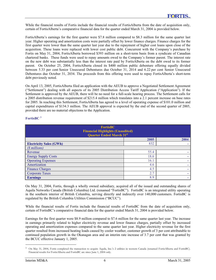While the financial results of Fortis include the financial results of FortisAlberta from the date of acquisition only, certain of FortisAlberta's comparative financial data for the quarter ended March 31, 2004 is provided below.

FortisAlberta's earnings for the first quarter were \$7.8 million compared to \$8.3 million for the same quarter last year. Higher operating and amortization costs were partially offset by lower finance charges. Finance charges for the first quarter were lower than the same quarter last year due to the repayment of higher cost loans upon close of the acquisition. These loans were replaced with lower cost public debt. Concurrent with the Company's purchase by Fortis on May 31, 2004, FortisAlberta borrowed \$393 million on a short-term basis from a syndicate of Canadian chartered banks. These funds were used to repay amounts owed to the Company's former parent. The interest rate on the new debt was substantially less than the interest rate paid by FortisAlberta on the debt owed to its former parent. On October 25, 2004, FortisAlberta closed its \$400 million public debenture offering equally divided between 5.33 per cent Senior Unsecured Debentures due October 31, 2014 and 6.22 per cent Senior Unsecured Debentures due October 31, 2034. The proceeds from this offering were used to repay FortisAlberta's short-term debt previously noted.

On April 13, 2005, FortisAlberta filed an application with the AEUB to approve a Negotiated Settlement Agreement ("Settlement") dealing with all aspects of its 2005 Distribution Access Tariff Application ("Application"). If the Settlement is approved by the AEUB, there will be no need for a full-scale hearing process. The Settlement calls for a 2005 distribution revenue requirement of \$215.4 million which translates into a 2.1 percent increase on base rates for 2005. In reaching this Settlement, FortisAlberta has agreed to a level of operating expense of \$101.0 million and capital expenditures of \$134.3 million. The AEUB approval is expected by the end of the second quarter of 2005, provided there are no material objections to the Application.

## **FortisBC 3**

| <b>FortisBC</b><br><b>Financial Highlights (Unaudited)</b><br><b>Quarter Ended March 31st</b> |      |      |  |
|-----------------------------------------------------------------------------------------------|------|------|--|
|                                                                                               | 2005 | 2004 |  |
| <b>Electricity Sales (GWh)</b>                                                                | 832  |      |  |
| (\$ millions)                                                                                 |      |      |  |
| Revenue                                                                                       | 55.4 |      |  |
| <b>Energy Supply Costs</b>                                                                    | 18.6 | -    |  |
| <b>Operating Expenses</b>                                                                     | 16.1 |      |  |
| Amortization                                                                                  | 4.6  |      |  |
| <b>Finance Charges</b>                                                                        | 4.5  |      |  |
| <b>Corporate Taxes</b>                                                                        | 2.7  |      |  |
| <b>Earnings</b>                                                                               | 8.9  | ٠    |  |

On May 31, 2004, Fortis, through a wholly owned subsidiary, acquired all of the issued and outstanding shares of Aquila Networks Canada (British Columbia) Ltd. (renamed "FortisBC"). FortisBC is an integrated utility operating in the southern interior of British Columbia, serving directly and indirectly over 140,000 customers. FortisBC is regulated by the British Columbia Utilities Commission ("BCUC").

While the financial results of Fortis include the financial results of FortisBC from the date of acquisition only, certain of FortisBC's comparative financial data for the quarter ended March 31, 2004 is provided below.

Earnings for the first quarter were \$8.9 million compared to \$7.6 million for the same quarter last year. The increase in earnings primarily related to higher electricity revenue and lower finance charges, partially offset by increased operating and amortization expenses compared to the same quarter last year. Higher electricity revenue for the first quarter resulted from increased heating loads caused by cooler weather, customer growth of 3 per cent attributable to continued population growth in the Okanagan area and an interim rate increase of 3.7 per cent that was granted by the BCUC effective January 1, 2005.

<sup>3</sup> On May 31, 2004, Fortis completed the transaction to acquire Aquila, Inc.'s 2 utilities in western Canada (renamed FortisAlberta and FortisBC). Financial results for FortisAlberta and FortisBC are since June 1, 2004 only.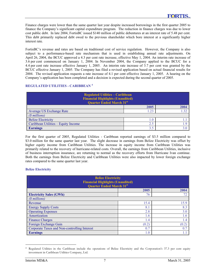Finance charges were lower than the same quarter last year despite increased borrowings in the first quarter 2005 to finance the Company's significant capital expenditure program. The reduction in finance charges was due to lower cost public debt. In late 2004, FortisBC issued \$140 million of public debentures at an interest rate of 5.48 per cent. This debt primarily replaced debt owed to the previous shareholder which bore interest at a significantly higher interest rate.

FortisBC's revenue and rates are based on traditional cost of service regulation. However, the Company is also subject to a performance-based rate mechanism that is used in establishing annual rate adjustments. On April 26, 2004, the BCUC approved a 4.3 per cent rate increase, effective May 1, 2004. An interim rate increase of 3.6 per cent commenced on January 1, 2004. In November 2004, the Company applied to the BCUC for a 4.4 per cent rate increase effective January 1, 2005. An interim rate increase of 3.7 per cent was granted by the BCUC effective January 1, 2005. The Company has filed a revised application based on actual financial results for 2004. The revised application requests a rate increase of 4.1 per cent effective January 1, 2005. A hearing on the Company's application has been completed and a decision is expected during the second quarter of 2005.

## **REGULATED UTILITIES - CARIBBEAN 4**

| <b>Regulated Utilities - Caribbean</b><br><b>Financial Highlights (Unaudited)</b><br><b>Quarter Ended March 31st</b> |      |      |  |
|----------------------------------------------------------------------------------------------------------------------|------|------|--|
|                                                                                                                      | 2005 | 2004 |  |
| Average US Exchange Rate<br>-32<br>l .23                                                                             |      |      |  |
| (\$ millions)                                                                                                        |      |      |  |
| <b>Belize Electricity</b>                                                                                            |      |      |  |
| Caribbean Utilities – Equity Income                                                                                  |      | 19   |  |
| <b>Earnings</b>                                                                                                      |      |      |  |

For the first quarter of 2005, Regulated Utilities - Caribbean reported earnings of \$3.5 million compared to \$3.0 million for the same quarter last year. The slight decrease in earnings from Belize Electricity was offset by higher equity income from Caribbean Utilities. The increase in equity income from Caribbean Utilities was primarily related to the recovery of hurricane-related costs. Overall, the earnings from Caribbean Utilities, inclusive of business interruption insurance, are returning to normal as the recovery efforts from Hurricane Ivan continue. Both the earnings from Belize Electricity and Caribbean Utilities were also impacted by lower foreign exchange rates compared to the same quarter last year.

## **Belize Electricity**

| <b>Belize Electricity</b><br><b>Financial Highlights (Unaudited)</b><br><b>Quarter Ended March 31st</b> |       |       |  |
|---------------------------------------------------------------------------------------------------------|-------|-------|--|
| 2005<br>2004                                                                                            |       |       |  |
| <b>Electricity Sales (GWh)</b>                                                                          | 76    | 72    |  |
| (\$ millions)                                                                                           |       |       |  |
| Revenue                                                                                                 | 15.4  | 15.9  |  |
| <b>Energy Supply Costs</b>                                                                              | 8.1   | 8.3   |  |
| <b>Operating Expenses</b>                                                                               | 2.8   | 3.0   |  |
| Amortization                                                                                            | 1.6   | 1.6   |  |
| <b>Finance Charges</b>                                                                                  | 1.4   | 1.4   |  |
| Foreign Exchange Gain                                                                                   | (0.2) | (0.2) |  |
| Corporate Taxes and Non-controlling Interest                                                            | 0.7   | 0.7   |  |
| <b>Earnings</b>                                                                                         | 1.0   |       |  |

<sup>4</sup> Regulated Utilities in the Caribbean include the operations of Belize Electricity and the Corporation's 37.3 per cent equity investment in Caribbean Utilities Company, Ltd.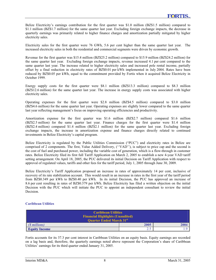Belize Electricity's earnings contribution for the first quarter was \$1.0 million (BZ\$1.5 million) compared to \$1.1 million (BZ\$1.7 million) for the same quarter last year. Excluding foreign exchange impacts, the decrease in quarterly earnings was primarily related to higher finance charges and amortization partially mitigated by higher electricity sales.

Electricity sales for the first quarter were 76 GWh, 5.6 per cent higher than the same quarter last year. The increased electricity sales in both the residential and commercial segments were driven by economic growth.

Revenue for the first quarter was \$15.4 million (BZ\$25.2 million) compared to \$15.9 million (BZ\$24.2 million) for the same quarter last year. Excluding foreign exchange impacts, revenue increased 4.1 per cent compared to the same quarter last year. The increase related to higher electricity sales and increased pole rental income, partially offset by a final reduction in electricity rates of BZ\$0.01 per kWh implemented in July 2004. Rates have been reduced by BZ\$0.05 per kWh, equal to the commitment provided by Fortis when it acquired Belize Electricity in October 1999.

Energy supply costs for the first quarter were \$8.1 million (BZ\$13.3 million) compared to \$8.3 million (BZ\$12.6 million) for the same quarter last year. The increase in energy supply costs was associated with higher electricity sales.

Operating expenses for the first quarter were \$2.8 million (BZ\$4.5 million) compared to \$3.0 million (BZ\$4.6 million) for the same quarter last year. Operating expenses are slightly lower compared to the same quarter last year reflecting management's focus on improving operating efficiencies and productivity.

Amortization expense for the first quarter was \$1.6 million (BZ\$2.7 million) compared \$1.6 million (BZ\$2.5 million) for the same quarter last year. Finance charges for the first quarter were \$1.4 million (BZ\$2.4 million) compared \$1.4 million (BZ\$2.1 million) for the same quarter last year. Excluding foreign exchange impacts, the increase in amortization expense and finance charges directly related to continued investments in Belize Electricity's capital program.

Belize Electricity is regulated by the Public Utilities Commission ("PUC") and electricity rates in Belize are comprised of 2 components. The first, Value Added Delivery, (''VAD''), is subject to price cap and the second is the cost of fuel and purchased power, including the variable cost of generation, which is a flow-through in customer rates. Belize Electricity filed its first full Tariff Application on March 2, 2005 to establish a new 4-year VAD tariff setting arrangement. On April 18, 2005, the PUC delivered its initial Decision on Tariff Application with respect to approval of regulated values, tariffs and other fees for the tariff period, July 1, 2005 through June 30, 2009.

Belize Electricity's Tariff Application proposed an increase in rates of approximately 14 per cent, inclusive of recovery of its rate stabilization account. This would result in an increase in rates in the first year of the tariff period from BZ\$0.349 per kWh to BZ\$0.40 per kWh. In its initial Decision, the PUC has approved an increase of 8.6 per cent resulting in rates of BZ\$0.379 per kWh. Belize Electricity has filed a written objection on the initial Decision with the PUC which will initiate the PUC to appoint an independent consultant to review the initial Decision.

## **Caribbean Utilities**

| <b>Caribbean Utilities</b><br><b>Financial Highlights (Unaudited)</b><br><b>Quarter Ended March 31st</b> |        |  |  |
|----------------------------------------------------------------------------------------------------------|--------|--|--|
| (\\millions)<br>2005<br>2004                                                                             |        |  |  |
| <b>Equity Income</b>                                                                                     | ر. ، ب |  |  |

Fortis accounts for its 37.3 per cent interest in Caribbean Utilities on an equity basis. Equity earnings are recorded on a lag basis and, therefore, the quarterly earnings noted above represent the Corporation's share of Caribbean Utilities' earnings for its third quarter ended January 31, 2005.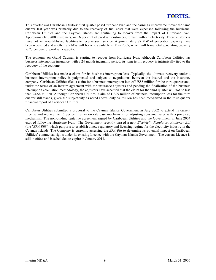This quarter was Caribbean Utilities' first quarter post-Hurricane Ivan and the earnings improvement over the same quarter last year was primarily due to the recovery of fuel costs that were expensed following the hurricane. Caribbean Utilities and the Cayman Islands are continuing to recover from the impact of Hurricane Ivan. Approximately 3,400 customers, or 16 per cent of pre-Ivan customers, remain without electricity. These customers have not yet re-established facilities to receive such service. Approximately 88 MW of generation capacity have been recovered and another 7.5 MW will become available in May 2005, which will bring total generating capacity to 77 per cent of pre-Ivan capacity.

The economy on Grand Cayman is starting to recover from Hurricane Ivan. Although Caribbean Utilities has business interruption insurance, with a 24-month indemnity period, its long-term recovery is intrinsically tied to the recovery of the economy.

Caribbean Utilities has made a claim for its business interruption loss. Typically, the ultimate recovery under a business interruption policy is judgmental and subject to negotiations between the insured and the insurance company. Caribbean Utilities filed a claim for a business interruption loss of US\$5 million for the third quarter and, under the terms of an interim agreement with the insurance adjustors and pending the finalization of the business interruption calculation methodology, the adjustors have accepted that the claim for the third quarter will not be less than US\$4 million. Although Caribbean Utilities' claim of US\$5 million of business interruption loss for the third quarter still stands, given the subjectivity as noted above, only \$4 million has been recognized in the third quarter financial report of Caribbean Utilities.

Caribbean Utilities submitted a proposal to the Cayman Islands Government in July 2002 to extend its current License and replace the 15 per cent return on rate base mechanism for adjusting consumer rates with a price cap mechanism. The non-binding tentative agreement signed by Caribbean Utilities and the Government in June 2004 expired following Hurricane Ivan. The Government recently passed a new *Electricity Regulatory Authority Bill* (the *"ERA Bill*") which purports to establish a new regulatory and licensing regime for the electricity industry in the Cayman Islands. The Company is currently assessing the *ERA Bill* to determine its potential impact on Caribbean Utilities' contractual rights under its existing Licence with the Cayman Islands Government. The current Licence is still in effect and is scheduled to expire in January 2011.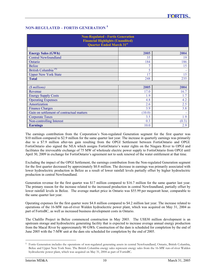## **NON-REGULATED – FORTIS GENERATION <sup>5</sup>**

| <b>Non-Regulated - Fortis Generation</b><br><b>Financial Highlights (Unaudited)</b><br><b>Quarter Ended March 31st</b> |        |       |  |
|------------------------------------------------------------------------------------------------------------------------|--------|-------|--|
| <b>Energy Sales (GWh)</b>                                                                                              | 2005   | 2004  |  |
| <b>Central Newfoundland</b>                                                                                            | 35     | 19    |  |
| Ontario                                                                                                                | 184    | 186   |  |
| <b>Belize</b>                                                                                                          | 7      | 15    |  |
| British Columbia <sup>(5)</sup>                                                                                        | 5      |       |  |
| <b>Upper New York State</b>                                                                                            | 17     | 15    |  |
| <b>Total</b>                                                                                                           | 248    | 235   |  |
|                                                                                                                        |        |       |  |
| (\$ millions)                                                                                                          | 2005   | 2004  |  |
| Revenue                                                                                                                | 17.0   | 16.7  |  |
| <b>Energy Supply Costs</b>                                                                                             | 1.9    | 1.7   |  |
| <b>Operating Expenses</b>                                                                                              | 4.8    | 4.2   |  |
| Amortization                                                                                                           | 2.6    | 2.5   |  |
| <b>Finance Charges</b>                                                                                                 | 3.9    | 3.8   |  |
| Gain on settlement of contractual matters                                                                              | (10.0) |       |  |
| <b>Corporate Taxes</b>                                                                                                 | 3.5    | 1.9   |  |
| Non-controlling Interest                                                                                               | 0.3    | (0.3) |  |
| <b>Earnings</b>                                                                                                        | 10.0   | 2.9   |  |

The earnings contribution from the Corporation's Non-regulated Generation segment for the first quarter was \$10 million compared to \$2.9 million for the same quarter last year. The increase in quarterly earnings was primarily due to a \$7.9 million after-tax gain resulting from the OPGI Settlement between FortisOntario and OPGI. FortisOntario also signed the NEA which assigns FortisOntario's water rights on the Niagara River to OPGI and facilitates the irrevocable exchange of 75 MW of wholesale electric power supply to FortisOntario from OPGI until April 30, 2009 in exchange for FortisOntario's agreement not to seek renewal of the water entitlement at that time.

Excluding the impact of the OPGI Settlement, the earnings contribution from the Non-regulated Generation segment for the first quarter decreased by approximately \$0.8 million. The decrease in earnings was primarily associated with lower hydroelectric production in Belize as a result of lower rainfall levels partially offset by higher hydroelectric production in central Newfoundland.

Generation revenue for the first quarter was \$17 million compared to \$16.7 million for the same quarter last year. The primary reason for the increase related to the increased production in central Newfoundland, partially offset by lower rainfall levels in Belize. The average market price in Ontario was \$55.99 per megawatt hour, comparable to the same quarter last year.

Operating expenses for the first quarter were \$4.8 million compared to \$4.2 million last year. The increase related to operations of the 16-MW run-of-river Walden hydroelectric power plant, which was acquired on May 31, 2004 as part of FortisBC, as well as increased business development costs in Ontario.

The Chalillo Project in Belize commenced construction in May 2003. The US\$30 million development is an upstream storage and hydroelectric generating facility that is expected to increase average annual energy production from the Macal River by approximately 90 GWh. Construction of the dam is scheduled for completion by the end of June 2005 with the 7-MW unit at the dam site scheduled for completion by the end of 2005.

<sup>&</sup>lt;sup>5</sup> Fortis Generation includes the operations of non-regulated generating assets in central Newfoundland, Ontario, British Columbia, Belize and Upper New York State. The British Columbia energy sales represent energy sales from the 16-MW run-of-river Walden hydroelectric power plant, which was acquired on May 31, 2004 as part of FortisBC.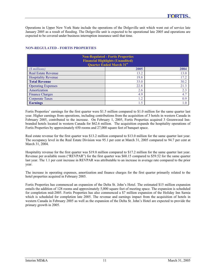Operations in Upper New York State include the operations of the Dolgeville unit which went out of service late January 2005 as a result of flooding. The Dolgeville unit is expected to be operational late 2005 and operations are expected to be covered under business interruption insurance until that time.

| <b>Non-Regulated - Fortis Properties</b><br><b>Financial Highlights (Unaudited)</b><br><b>Quarter Ended March 31st</b> |      |      |  |
|------------------------------------------------------------------------------------------------------------------------|------|------|--|
| (\\timesimilar millions)                                                                                               | 2005 | 2004 |  |
| <b>Real Estate Revenue</b>                                                                                             | 13.2 | 13.0 |  |
| <b>Hospitality Revenue</b>                                                                                             | 19.8 | 17.2 |  |
| <b>Total Revenue</b>                                                                                                   | 33.0 | 30.2 |  |
| <b>Operating Expenses</b>                                                                                              | 22.8 | 21.3 |  |
| Amortization                                                                                                           | 2.6  | 2.3  |  |
| <b>Finance Charges</b>                                                                                                 | 4.9  | 4.7  |  |
| <b>Corporate Taxes</b>                                                                                                 | 1.2  | 0.9  |  |
| <b>Earnings</b>                                                                                                        | 1.5  | 1.0  |  |

## **NON-REGULATED - FORTIS PROPERTIES**

Fortis Properties' earnings for the first quarter were \$1.5 million compared to \$1.0 million for the same quarter last year. Higher earnings from operations, including contributions from the acquisition of 3 hotels in western Canada in February 2005, contributed to the increase. On February 1, 2005, Fortis Properties acquired 3 Greenwood Innbranded hotels located in western Canada for \$62.6 million. The acquisition expands the hospitality operations of Fortis Properties by approximately 650 rooms and 27,000 square feet of banquet space.

Real estate revenue for the first quarter was \$13.2 million compared to \$13.0 million for the same quarter last year. The occupancy level in the Real Estate Division was 95.1 per cent at March 31, 2005 compared to 94.7 per cent at March 31, 2004.

Hospitality revenue for the first quarter was \$19.8 million compared to \$17.2 million for the same quarter last year. Revenue per available room ("REVPAR") for the first quarter was \$60.15 compared to \$59.52 for the same quarter last year. The 1.1 per cent increase in REVPAR was attributable to an increase in average rate compared to the prior year.

The increase in operating expenses, amortization and finance charges for the first quarter primarily related to the hotel properties acquired in February 2005.

Fortis Properties has commenced an expansion of the Delta St. John's Hotel. The estimated \$15 million expansion entails the addition of 128 rooms and approximately 5,000 square feet of meeting space. The expansion is scheduled for completion mid-2005. Fortis Properties has also commenced a \$7 million expansion of the Holiday Inn Sarnia which is scheduled for completion late 2005. The revenue and earnings impact from the acquisition of hotels in western Canada in February 2005 as well as the expansion of the Delta St. John's Hotel are expected to provide the primary growth in 2005.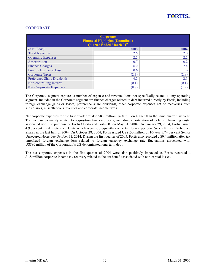## **CORPORATE**

| Corporate<br><b>Financial Highlights (Unaudited)</b><br><b>Quarter Ended March 31st</b> |       |       |  |  |
|-----------------------------------------------------------------------------------------|-------|-------|--|--|
| $(S$ millions)                                                                          | 2005  | 2004  |  |  |
| <b>Total Revenue</b>                                                                    | 2.6   | 2.0   |  |  |
| <b>Operating Expenses</b>                                                               | 2.2   | 2.2   |  |  |
| Amortization                                                                            | 0.7   | 0.2   |  |  |
| <b>Finance Charges</b>                                                                  | 6.0   | 2.4   |  |  |
| Foreign Exchange Loss                                                                   | 0.6   |       |  |  |
| <b>Corporate Taxes</b>                                                                  | (2.3) | (2.9) |  |  |
| <b>Preference Share Dividends</b>                                                       | 4.2   | 2.1   |  |  |
| Non-controlling Interest                                                                | (0.1) | (0.1) |  |  |
| <b>Net Corporate Expenses</b>                                                           | (8.7) | (1.9) |  |  |

The Corporate segment captures a number of expense and revenue items not specifically related to any operating segment. Included in the Corporate segment are finance charges related to debt incurred directly by Fortis, including foreign exchange gains or losses, preference share dividends, other corporate expenses net of recoveries from subsidiaries, miscellaneous revenues and corporate income taxes.

Net corporate expenses for the first quarter totaled \$8.7 million, \$6.8 million higher than the same quarter last year. The increase primarily related to acquisition financing costs, including amortization of deferred financing costs, associated with the purchase of FortisAlberta and FortisBC on May 31, 2004. On January 29, 2004, Fortis issued 4.9 per cent First Preference Units which were subsequently converted to 4.9 per cent Series E First Preference Shares in the last half of 2004. On October 28, 2004, Fortis issued US\$150 million of 10-year 5.74 per cent Senior Unsecured Notes due October 31, 2014. During the first quarter of 2005, Fortis also recorded a \$0.4 million after-tax unrealized foreign exchange loss related to foreign currency exchange rate fluctuations associated with US\$80 million of the Corporation's US-denominated long-term debt.

The net corporate expenses in the first quarter of 2004 were also positively impacted as Fortis recorded a \$1.8 million corporate income tax recovery related to the tax benefit associated with non-capital losses.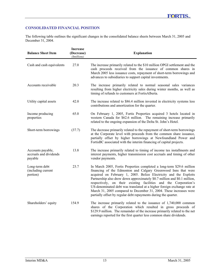## **CONSOLIDATED FINANCIAL POSITION**

The following table outlines the significant changes in the consolidated balance sheets between March 31, 2005 and December 31, 2004.

| <b>Balance Sheet Item</b>                              | Increase<br>(Decrease)<br>( <i>Smillions</i> ) | <b>Explanation</b>                                                                                                                                                                                                                                                                                                                                                                                                                                                                                                                                                                |
|--------------------------------------------------------|------------------------------------------------|-----------------------------------------------------------------------------------------------------------------------------------------------------------------------------------------------------------------------------------------------------------------------------------------------------------------------------------------------------------------------------------------------------------------------------------------------------------------------------------------------------------------------------------------------------------------------------------|
| Cash and cash equivalents                              | 27.0                                           | The increase primarily related to the \$10 million OPGI settlement and the<br>cash proceeds received from the issuance of common shares in<br>March 2005 less issuance costs, repayment of short-term borrowings and<br>advances to subsidiaries to support capital investments.                                                                                                                                                                                                                                                                                                  |
| Accounts receivable                                    | 20.3                                           | The increase primarily related to normal seasonal sales variances<br>resulting from higher electricity sales during winter months, as well as<br>timing of refunds to customers at FortisAlberta.                                                                                                                                                                                                                                                                                                                                                                                 |
| Utility capital assets                                 | 42.0                                           | The increase related to \$86.4 million invested in electricity systems less<br>contributions and amortization for the quarter.                                                                                                                                                                                                                                                                                                                                                                                                                                                    |
| Income producing<br>properties                         | 65.0                                           | On February 1, 2005, Fortis Properties acquired 3 hotels located in<br>western Canada for \$62.6 million. The remaining increase primarily<br>related to the ongoing expansion of the Delta St. John's Hotel.                                                                                                                                                                                                                                                                                                                                                                     |
| Short-term borrowings                                  | (37.7)                                         | The decrease primarily related to the repayment of short-term borrowings<br>at the Corporate level with proceeds from the common share issuance,<br>partially offset by higher borrowings at Newfoundland Power and<br>FortisBC associated with the interim financing of capital projects.                                                                                                                                                                                                                                                                                        |
| Accounts payable,<br>accruals and dividends<br>payable | 13.8                                           | The increase primarily related to timing of income tax installments and<br>interest payments, higher transmission cost accruals and timing of other<br>vendor payments.                                                                                                                                                                                                                                                                                                                                                                                                           |
| Long-term debt<br>(including current<br>portion)       | 23.7                                           | In March 2005, Fortis Properties completed a long-term \$29.6 million<br>financing of the Edmonton and Calgary Greenwood Inns that were<br>acquired on February 1, 2005. Belize Electricity and the Exploits<br>Partnership also drew down approximately \$0.7 million and \$0.1 million,<br>respectively, on their existing facilities and the Corporation's<br>US-denominated debt was translated at a higher foreign exchange rate at<br>March 31, 2005 compared to December 31, 2004. These increases were<br>partially offset by regular debt repayments during the quarter. |
| Shareholders' equity                                   | 154.9                                          | The increase primarily related to the issuance of $1,740,000$ common<br>shares of the Corporation which resulted in gross proceeds of<br>\$129.9 million. The remainder of the increase primarily related to the net<br>earnings reported for the first quarter less common share dividends.                                                                                                                                                                                                                                                                                      |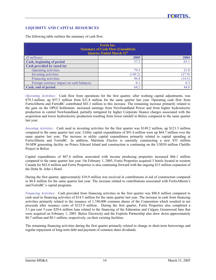## **LIQUIDITY AND CAPITAL RESOURCES**

| The following table outlines the summary of cash flow. |  |
|--------------------------------------------------------|--|
|--------------------------------------------------------|--|

| <b>Fortis Inc.</b>                                                         |         |        |  |  |
|----------------------------------------------------------------------------|---------|--------|--|--|
| <b>Summary of Cash Flow (Unaudited)</b><br><b>Quarter Ended March 31st</b> |         |        |  |  |
| (\\timesimilar millions)                                                   | 2005    | 2004   |  |  |
| Cash, beginning of period                                                  | 37.2    | 65.1   |  |  |
| Cash provided by (used in)                                                 |         |        |  |  |
| <b>Operating activities</b>                                                | 79.3    | 21.8   |  |  |
| Investing activities                                                       | (149.2) | (27.9) |  |  |
| <b>Financing activities</b>                                                | 96.8    | (14.5) |  |  |
| Foreign currency impact on cash balances                                   | 0.1     | 0.3    |  |  |
| Cash, end of period                                                        | 64.2    | 44.8   |  |  |

*Operating Activities:* Cash flow from operations for the first quarter, after working capital adjustments, was \$79.3 million, up \$57.5 million from \$21.8 million for the same quarter last year. Operating cash flow from FortisAlberta and FortisBC contributed \$41.1 million to this increase. The remaining increase primarily related to the gain on the OPGI Settlement, increased earnings from Newfoundland Power and from higher hydroelectric production in central Newfoundland, partially mitigated by higher Corporate finance charges associated with the acquisition and lower hydroelectric production resulting from lower rainfall in Belize compared to the same quarter last year.

*Investing Activities:* Cash used in investing activities for the first quarter was \$149.2 million, up \$121.3 million compared to the same quarter last year. Utility capital expenditures of \$91.4 million were up \$64.7 million over the same quarter last year. The increase in utility capital expenditures primarily related to capital spending at FortisAlberta and FortisBC. In addition, Maritime Electric is currently constructing a new \$35 million 50-MW generating facility on Prince Edward Island and construction is continuing on the US\$30 million Chalillo Project in Belize.

Capital expenditures of \$67.4 million associated with income producing properties increased \$66.1 million compared to the same quarter last year. On February 1, 2005, Fortis Properties acquired 3 hotels located in western Canada for \$62.6 million and Fortis Properties is also continuing forward with the ongoing \$15 million expansion of the Delta St. John's Hotel.

During the first quarter, approximately \$10.9 million was received in contributions in aid of construction compared to \$0.8 million for the same quarter last year. The increase related to contributions associated with FortisAlberta's and FortisBC's capital programs.

*Financing Activities:* Cash provided from financing activities in the first quarter was \$96.8 million compared to cash used in financing activities of \$14.5 million for the same quarter last year. The increase in cash from financing activities primarily related to the issuance of 1,740,000 common shares of the Corporation which resulted in net proceeds after issuance costs of \$123.9 million. During the first quarter, Fortis Properties also completed a 5.1 per cent 5-year \$29.6 million loan related to the financing of the Edmonton and Calgary Greenwood Inns that were acquired on February 1, 2005. Belize Electricity and the Exploits Partnership also drew down approximately \$0.7 million and \$0.1 million, respectively, on their existing facilities.

The remaining financing activities during the first quarter primarily related to change in short-term borrowings and regular repayment of long-term debt and payment of common share dividends.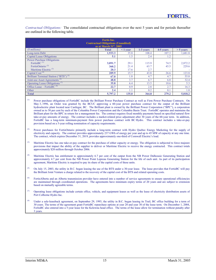*Contractual Obligations:* The consolidated contractual obligations over the next 5 years and for periods thereafter are outlined in the following table.

| <b>Fortis Inc.</b><br><b>Contractual Obligations (Unaudited)</b><br>as at March $31st$ , 2005 |              |            |           |           |             |  |
|-----------------------------------------------------------------------------------------------|--------------|------------|-----------|-----------|-------------|--|
| (\$ millions)                                                                                 | <b>Total</b> | $< 1$ year | 1-3 years | 4-5 years | $> 5$ years |  |
| Long-term Debt                                                                                | 1,933.3      | 35.8       | 108.4     | 107.3     | 1,681.8     |  |
| Capital Lease Obligations                                                                     | 5.1          | 1.5        | 2.4       | 1.2       |             |  |
| <b>Power Purchase Obligations</b>                                                             |              |            |           |           |             |  |
| FortisBC <sup>(1)</sup>                                                                       | 3,091.7      | 29.1       | 115.9     | 74.5      | 2,872.2     |  |
| FortisOntario <sup>(2)</sup>                                                                  | 360.2        | 21.4       | 63.7      | 45.5      | 229.6       |  |
| Maritime Electric <sup>(3)</sup>                                                              | 20.3         | 17.6       | 2.7       | ٠         |             |  |
| Capital Cost <sup>(4)</sup>                                                                   | 209.9        | 15.7       | 43.8      | 26.6      | 123.8       |  |
| Brilliant Terminal Station ("BTS") <sup>(5)</sup>                                             | 67.0         | 1.8        | 4.7       | 4.7       | 55.8        |  |
| Joint-use Asset Agreements <sup>(6)</sup>                                                     | 48.8         | 3.7        | 6.7       | 6.0       | 32.4        |  |
| Operating Lease Obligations <sup>(7)</sup>                                                    | 35.8         | 6.4        | 13.5      | 10.6      | 5.3         |  |
| Office Lease – FortisBC $(8)$                                                                 | 22.7         | 0.9        | 2.8       | 2.7       | 16.3        |  |
| Other                                                                                         | 2.4          | $1.1\,$    | 0.2       | 0.1       | 1.0         |  |
| <b>Total</b>                                                                                  | 5,797.2      | 135.0      | 364.8     | 279.2     | 5,018.2     |  |

Power purchase obligations of FortisBC include the Brilliant Power Purchase Contract as well as Firm Power Purchase Contracts. On May 3, 1996, an Order was granted by the BCUC approving a 60-year power purchase contract for the output of the Brilliant hydroelectric plant located near Castlegar, BC. The Brilliant plant is owned by the Brilliant Power Corporation ("BPC"), a corporation owned as to 50 per cent by each of the Columbia Power Corporation and the Columbia Basin Trust. FortisBC operates and maintains the Brilliant plant for the BPC in return for a management fee. The contract requires fixed monthly payments based on specified natural flow take-or-pay amounts of energy. The contract includes a market-related price adjustment after 30 years of the 60-year term. In addition, FortisBC has a long-term minimum-payment firm power purchase contract with BC Hydro. This contract includes a take-or-pay provision based on a 5-year rolling nomination of capacity requirements.

- <sup>(2)</sup> Power purchases for FortisOntario primarily include a long-term contract with Hydro Quebec Energy Marketing for the supply of electricity and capacity. The contract provides approximately 237 GWh of energy per year and up to 45 MW of capacity at any one time. The contract, which expires December 31, 2019, provides approximately one-third of Cornwall Electric's load.
- (3) Maritime Electric has one take-or-pay contract for the purchase of either capacity or energy. The obligation is subjected to force majeure provisions that impact the ability of the supplier to deliver or Maritime Electric to receive the energy contracted. This contract totals approximately \$20 million through October 2006.
- (4) Maritime Electric has entitlement to approximately 6.7 per cent of the output from the NB Power Dalhousie Generating Station and approximately 4.7 per cent from the NB Power Point Lepreau Generating Station for the life of each unit. As part of its participation agreement, Maritime Electric is required to pay its share of the capital costs of these units.
- <sup>(5)</sup> On July 15, 2003, the utility in B.C. began leasing the use of the BTS under a 30-year lease. The lease provides that FortisBC will pay the Brilliant Joint Venture a charge related to the recovery of the capital cost of the BTS and related operating costs.
- (6) FortisAlberta and an Alberta transmission provider have entered into a number of service agreements to ensure operational efficiencies are maintained through coordinated operations. The agreements have minimum expiry terms of 20 years and are subject to extension based on mutually agreeable terms.
- $(7)$  Operating lease obligations include certain office, vehicle, and equipment leases as well as the lease of electricity distribution assets of Port Colborne Hydro Inc.
- Under a sale-leaseback agreement, on September 29, 1993, the utility in B.C. began leasing its Trail, BC office building for a term of 30 years. The terms of the agreement grant FortisBC repurchase options at year 20 and year 30 of the lease term. On December 1, 2004, FortisBC also entered into a 5-year lease for the Kelowna head office. The terms of the lease allow for termination without penalty after 3 years.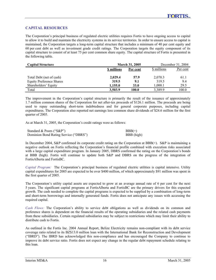## **CAPITAL RESOURCES**

The Corporation's principal business of regulated electric utilities requires Fortis to have ongoing access to capital to allow it to build and maintain the electricity systems in its service territories. In order to ensure access to capital is maintained, the Corporation targets a long-term capital structure that includes a minimum of 40 per cent equity and 60 per cent debt as well as investment grade credit ratings. The Corporation targets the equity component of its capital structure to consist of at least 75 per cent common share equity. The capital structure of Fortis is presented in the following table.

| <b>Capital Structure</b>        | <b>March 31, 2005</b> |             |             | December 31, 2004 |
|---------------------------------|-----------------------|-------------|-------------|-------------------|
|                                 | <b>S</b> millions     | Per cent    | \$ millions | Per cent          |
| Total Debt (net of cash)        | 2,029.4               | 57.9        | 2,070.3     | 61.1              |
| <b>Equity Preference Shares</b> | 319.5                 | 9.1         | 319.5       | 9.4               |
| Shareholders' Equity            | 1.155.0               | <b>33.0</b> | 1,000.1     | 29.5              |
| Total                           | 3,503.9               | 100.0       | 3.389.9     | 100.0             |

The improvement in the Corporation's capital structure is primarily the result of the issuance of approximately 1.7 million common shares of the Corporation for net after-tax proceeds of \$126.1 million. The proceeds are being used to repay outstanding short-term indebtedness and for general corporate purposes, including capital expenditures. The Corporation also reported net earnings less common share dividends of \$24.6 million for the first quarter of 2005.

As at March 31, 2005, the Corporation's credit ratings were as follows:

| Standard & Poors ("S&P")              | $BBB(+)$   |
|---------------------------------------|------------|
| Dominion Bond Rating Service ("DBRS") | BBB (high) |

In December 2004, S&P confirmed its corporate credit rating on the Corporation at BBB(+). S&P is maintaining a negative outlook on Fortis reflecting the Corporation's financial profile combined with execution risks associated with a large capital expenditure program. In January 2005, DBRS confirmed the rating on the Corporation's bonds at BBB (high). Fortis will continue to update both S&P and DBRS on the progress of the integration of FortisAlberta and FortisBC.

*Capital Program:* The Corporation's principal business of regulated electric utilities is capital intensive. Utility capital expenditures for 2005 are expected to be over \$400 million, of which approximately \$91 million was spent in the first quarter of 2005.

The Corporation's utility capital assets are expected to grow at an average annual rate of 6 per cent for the next 5 years. The significant capital programs at FortisAlberta and FortisBC are the primary drivers for this expected growth. The cash needed to complete the capital programs is expected to be supplied by a combination of long-term and short-term borrowings and internally generated funds. Fortis does not anticipate any issues with accessing the required capital.

*Cash Flows:* The Corporation's ability to service debt obligations as well as dividends on its common and preference shares is dependent on the financial results of the operating subsidiaries and the related cash payments from these subsidiaries. Certain regulated subsidiaries may be subject to restrictions which may limit their ability to distribute cash to Fortis.

As outlined in the Fortis Inc. 2004 Annual Report, Belize Electricity remains non-compliant with its debt service coverage ratio related to its BZ\$13.0 million loan with the International Bank for Reconstruction and Development ("IBRD"). The IBRD has acknowledged this non-compliance and has encouraged the Company to continue to improve its debt service ratio. Fortis does not expect any change in the regular debt repayment schedule relating to this loan.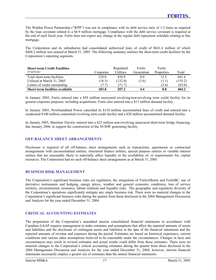The Walden Power Partnership ("WPP") was not in compliance with its debt service ratio of 1.2 times as required by the loan covenant related to a \$6.9 million mortgage. Compliance with the debt service covenant is required at the end of each fiscal year. Fortis does not expect any change in the regular debt repayment schedule relating to this mortgage.

The Corporation and its subsidiaries had consolidated authorized lines of credit of \$641.4 million of which \$404.2 million was unused at March 31, 2005. The following summary outlines the short-term credit facilities by the Corporation's reporting segments.

| <b>Short-term Credit Facilities</b><br>(\$ millions) | Corporate | Regulated<br>Utilities | Fortis<br>Generation | Fortis<br>Properties | Total   |
|------------------------------------------------------|-----------|------------------------|----------------------|----------------------|---------|
| Total short-term facilities                          | 210.0     | 410.9                  | 8.0                  | 12.5                 | 641.4   |
| Utilized at March 31, 2005                           | (18.5)    | (132.0)                | (3.6)                | (1.1)                | (155.2) |
| Letters of credit outstanding                        | (7.7)     | (71.7)                 | $\sim$               | (2.6)                | (82.0)  |
| Short-term facilities available                      | 183.8     | 207.2                  | 4.4                  | 8.8                  | 404.2   |

In January 2005, Fortis entered into a \$50 million unsecured revolving/non-revolving term credit facility for its general corporate purposes, including acquisitions. Fortis also entered into a \$15 million demand facility.

In January 2005, Newfoundland Power cancelled its \$110 million uncommitted lines of credit and entered into a syndicated \$100 million committed revolving term credit facility and a \$20 million uncommitted demand facility.

In January 2005, Maritime Electric entered into a \$25 million non-revolving unsecured short-term bridge financing, due January 2006, to support the construction of the 50-MW generating facility.

## **OFF-BALANCE SHEET ARRANGEMENTS**

Disclosure is required of all off-balance sheet arrangements such as transactions, agreements or contractual arrangements with unconsolidated entities, structured finance entities, special purpose entities or variable interest entities that are reasonably likely to materially affect liquidity or the availability of, or requirements for, capital resources. The Corporation had no such off-balance sheet arrangements as at March 31, 2005.

## **BUSINESS RISK MANAGEMENT**

The Corporation's significant business risks are regulation, the integration of FortisAlberta and FortisBC, use of derivative instruments and hedging, energy prices, weather and general economic conditions, loss of service territory, environmental, insurance, labour relations and liquidity risks. The geographic and regulatory diversity of the Corporation's operations significantly mitigate any single business risk. There were no material changes to the Corporation's significant business risks during the quarter from those disclosed in the 2004 Management Discussion and Analysis for the year ended December 31, 2004.

## **CRITICAL ACCOUNTING ESTIMATES**

The preparation of the Corporation's unaudited interim consolidated financial statements in accordance with Canadian GAAP requires management to make estimates and assumptions that affect the reported amounts of assets and liabilities and the disclosure of contingent assets and liabilities at the date of the financial statements and the reported amounts of revenue and expenses during the period. Estimates are based on historical experience, current conditions and various other assumptions believed to be reasonable under the circumstances. Changes in facts and circumstances may result in revised estimates and actual results could differ from those estimates. There were no material changes to the Corporation's critical accounting estimates during the quarter from those disclosed in the 2004 Management Discussion and Analysis for the year ended December 31, 2004; however, interim financial statements necessarily employ a greater use of estimates than the annual financial statements.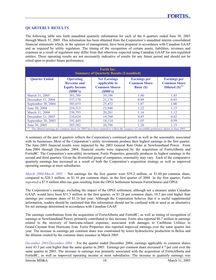## **QUARTERLY RESULTS**

The following table sets forth unaudited quarterly information for each of the 8 quarters ended June 30, 2003 through March 31, 2005. This information has been obtained from the Corporation's unaudited interim consolidated financial statements which, in the opinion of management, have been prepared in accordance with Canadian GAAP and as required by utility regulators. The timing of the recognition of certain assets, liabilities, revenues and expenses as a result of regulation may differ from that otherwise expected using Canadian GAAP for non-regulated entities. These operating results are not necessarily indicative of results for any future period and should not be relied upon to predict future performance.

| <b>Fortis Inc.</b><br><b>Summary of Quarterly Results (Unaudited)</b> |                                                                            |                                                                                                                                          |                                                                 |                                                                   |  |
|-----------------------------------------------------------------------|----------------------------------------------------------------------------|------------------------------------------------------------------------------------------------------------------------------------------|-----------------------------------------------------------------|-------------------------------------------------------------------|--|
| <b>Quarter Ended</b>                                                  | <b>Operating</b><br><b>Revenue and</b><br><b>Equity Income</b><br>(S000's) | <b>Net Earnings</b><br>applicable to<br><b>Common Shares</b><br>(S000's)                                                                 | <b>Earnings per</b><br><b>Common Share</b><br><b>Basic (\$)</b> | <b>Earnings per</b><br><b>Common Share</b><br>Diluted $(S)^{(1)}$ |  |
| March 31, 2005                                                        | 381,789                                                                    | 39,196                                                                                                                                   | 1.60                                                            | 1.45                                                              |  |
| December 31, 2004                                                     | 337,170                                                                    | 21,176                                                                                                                                   | 0.89                                                            | 0.85                                                              |  |
| September 30, 2004                                                    | 303,653                                                                    | 25,452                                                                                                                                   | 1.07                                                            | 1.00                                                              |  |
| June 30, 2004                                                         | 254,513                                                                    | 23,946                                                                                                                                   | 1.22                                                            | 1.15                                                              |  |
| March 31, 2004                                                        | 250,793                                                                    | 20,281                                                                                                                                   | 1.16                                                            | 1.12                                                              |  |
| December 31, 2003                                                     | 210,624                                                                    | 14,760                                                                                                                                   | 0.85                                                            | 0.82                                                              |  |
| September 30, 2003                                                    | 191,445                                                                    | 18,114                                                                                                                                   | 1.05                                                            | 0.99                                                              |  |
| June 30, 2003                                                         | 205,582                                                                    | 20,796                                                                                                                                   | 1.20                                                            | 1.15                                                              |  |
|                                                                       |                                                                            | The diluted earnings per common share for 2003 have been restated to reflect the issuance of convertible preference shares in June 2003. |                                                                 |                                                                   |  |

A summary of the past 8 quarters reflects the Corporation's continued growth as well as the seasonality associated with its businesses. Most of the Corporation's utility investments produce their highest earnings in the first quarter. The June 2003 financial results were impacted by the 2003 General Rate Order at Newfoundland Power. From June 2004 through December 2004, financial results were impacted by the acquisition of FortisAlberta and FortisBC. The Corporation's non-utility investment, Fortis Properties, generally produces its highest earnings in the second and third quarters. Given the diversified group of companies, seasonality may vary. Each of the comparative quarterly earnings has increased as a result of both the Corporation's acquisition strategy as well as improved operating earnings at most subsidiaries.

*March 2004/March 2005 –* Net earnings for the first quarter were \$39.2 million, or \$1.60 per common share, compared to \$20.3 million, or \$1.16 per common share, in the first quarter of 2004. In the first quarter, Fortis reported a \$7.9 million after-tax gain resulting from the OPGI Settlement between FortisOntario and OPGI.

The Corporation's earnings, excluding the impact of the OPGI settlement, although not a measure under Canadian GAAP, would have been \$31.3 million in the first quarter, or \$1.28 per common share, 10.3 per cent higher than earnings per common share of \$1.16 last year. Although the Corporation believes that it is useful supplemental information, readers should be cautioned that this information should not be confused with or used as an alternative for net earnings determined in accordance with Canadian GAAP.

The earnings contributions from the acquisition of FortisAlberta and FortisBC, as well as timing of recognition of earnings at Newfoundland Power, primarily contributed to this increase. Fortis also reported \$0.7 million in earnings related to the recovery of hurricane-related expenses, associated with damages to Caribbean Utilities in Grand Cayman from Hurricane Ivan. Fortis Properties also reported improved earnings over the same quarter last year. The increase in earnings per common share was constrained by lower hydroelectric production in Belize and the dilution created by the common share issuance in March 2005.

*December 2003/December 2004 –* For the quarter ended December 2004, earnings applicable to common shares were 43.5 per cent higher than the same quarter in 2003. Earnings per common share increased 4.7 per cent over the same quarter in 2003. The increase in earnings was primarily associated with the acquisition of FortisAlberta and FortisBC, as well as improved operating income at most subsidiaries. The increase in quarterly earnings was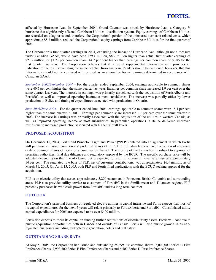affected by Hurricane Ivan. In September 2004, Grand Cayman was struck by Hurricane Ivan, a Category V hurricane that significantly affected Caribbean Utilities' distribution system. Equity earnings of Caribbean Utilities are recorded on a lag basis and, therefore, the Corporation's portion of the uninsured hurricane-related costs, which approximate \$8.2 million, reduced the Corporation's equity earnings from Caribbean Utilities for the first quarter of 2004.

The Corporation's first quarter earnings in 2004, excluding the impact of Hurricane Ivan, although not a measure under Canadian GAAP, would have been \$29.4 million, \$8.2 million higher than actual first quarter earnings of \$21.2 million, or \$1.23 per common share, 44.7 per cent higher than earnings per common share of \$0.85 for the first quarter last year. The Corporation believes that it is useful supplemental information as it provides an indication of the results excluding the impact of the Hurricane Ivan. Readers should be cautioned, however, that this information should not be confused with or used as an alternative for net earnings determined in accordance with Canadian GAAP.

*September 2003/September 2004 –* For the quarter ended September 2004, earnings applicable to common shares were 40.5 per cent higher than the same quarter last year. Earnings per common share increased 1.9 per cent over the same quarter last year. The increase in earnings was primarily associated with the acquisition of FortisAlberta and FortisBC, as well as improved operating income at most subsidiaries. The increase was partially offset by lower production in Belize and timing of expenditures associated with production in Ontario.

*June 2003/June 2004 –* For the quarter ended June 2004, earnings applicable to common shares were 15.1 per cent higher than the same quarter in 2003. Earnings per common share increased 1.7 per cent over the same quarter in 2003. The increase in earnings was primarily associated with the acquisition of the utilities in western Canada, as well as improved operating income at most subsidiaries. In particular, operations in Belize delivered improved results due to increased production associated with higher rainfall levels.

## **PROPOSED ACQUISITION**

On December 15, 2004, Fortis and Princeton Light and Power ("PLP") entered into an agreement in which Fortis will purchase all issued common and preferred shares of PLP. The PLP shareholders have the option of receiving cash or common shares of Fortis or a combination thereof. The closing of the transaction is subject to approval of securities authorities, final due diligence and regulatory approval by the BCUC. The specific purchase price will be adjusted depending on the time of closing but is expected to result in a premium over rate base of approximately 14 per cent. The regulated rate base of PLP, net of customer contributions, was approximately \$6.4 million, as of March 31, 2005. On April 15, 2005, both PLP and Fortis filed applications with the BCUC seeking approval for the acquisition.

PLP is an electric utility that serves approximately 3,200 customers in Princeton, British Columbia and surrounding areas. PLP also provides utility service to customers of FortisBC in the Similkameen and Tulameen regions. PLP presently purchases its wholesale power from FortisBC under a long-term contract.

## **OUTLOOK**

The Corporation's principal business of regulated electric utilities is capital intensive and Fortis expects that most of its capital expenditures for the next 5 years will relate primarily to FortisAlberta and FortisBC. Consolidated utility capital expenditures for 2005 are expected to be over \$400 million.

Fortis also expects to focus its capital on funding further acquisitions of electric utility assets. Fortis will continue to pursue acquisition opportunities both in Canada and outside of Canada. Fortis will also pursue growth in its nonregulated businesses including hydroelectric generation, hotels and real estate.

## **OUTSTANDING SHARE DATA**

At May 5, 2005, the Corporation had issued and outstanding 25,699,926 common shares, 5,000,000 Series C First Preference Shares, 7,993,500 Series E First Preference Shares and 6,500 Series D First Preference Shares.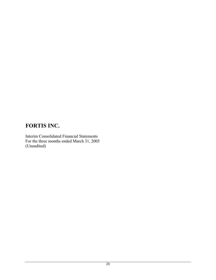## **FORTIS INC.**

Interim Consolidated Financial Statements For the three months ended March 31, 2005 (Unaudited)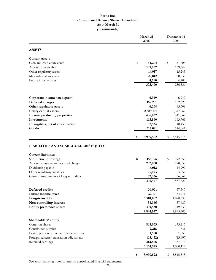## **Fortis Inc. Consolidated Balance Sheets (Unaudited) As at March 31 (in thousands)**

|                                          | March 31<br>2005 |    |           |
|------------------------------------------|------------------|----|-----------|
| <b>ASSETS</b>                            |                  |    |           |
| <b>Current assets</b>                    |                  |    |           |
| Cash and cash equivalents                | \$<br>64,204     | \$ | 37,203    |
| Accounts receivable                      | 189,967          |    | 169,649   |
| Other regulatory assets                  | 14,917           |    | 15,245    |
| Materials and supplies                   | 29,812           |    | 30,235    |
| Future income taxes                      | 4,590            |    | 4,204     |
|                                          | 303,490          |    | 256,536   |
| Corporate income tax deposit             | 6,949            |    | 6,949     |
| Deferred charges                         | 152,231          |    | 152,320   |
| Other regulatory assets                  | 46,264           |    | 45,309    |
| Utility capital assets                   | 2,389,101        |    | 2,347,067 |
| Income producing properties              | 406,052          |    | 341,069   |
| Investments                              | 163,860          |    | 163,769   |
| Intangibles, net of amortization         | 17,534           |    | 18,455    |
| Goodwill                                 | 514,041          |    | 514,041   |
|                                          | \$<br>3,999,522  | \$ | 3,845,515 |
| LIABILITIES AND SHAREHOLDERS' EQUITY     |                  |    |           |
| <b>Current liabilities</b>               |                  |    |           |
| Short-term borrowings                    | \$<br>155,196    | \$ | 192,858   |
| Accounts payable and accrued charges     | 282,860          |    | 270,055   |
| Dividends payable                        | 16,012           |    | 14,997    |
| Other regulatory liabilities             | 25,073           |    | 23,657    |
| Current installments of long-term debt   | 37,336           |    | 36,062    |
|                                          | 516,477          |    | 537,629   |
| Deferred credits                         | 36,901           |    | 37,347    |
| Future income taxes                      | 32,191           |    | 34,771    |
| Long-term debt                           | 1,901,082        |    | 1,878,639 |
| Non-controlling interest                 | 38,366           |    | 37,487    |
| <b>Equity preference shares</b>          | 319,530          |    | 319,530   |
|                                          | 2,844,547        |    | 2,845,403 |
| Shareholders' equity                     |                  |    |           |
| Common shares                            | 805,063          |    | 675,215   |
| Contributed surplus                      | 2,218            |    | 1,831     |
| Equity portion of convertible debentures | 1,560            |    | 1,550     |
| Foreign currency translation adjustment  | (15, 432)        |    | (15, 497) |
| Retained earnings                        | 361,566          |    | 337,013   |
|                                          | 1,154,975        |    | 1,000,112 |
|                                          | \$<br>3,999,522  | \$ | 3,845,515 |

See accompanying notes to interim consolidated financial statements.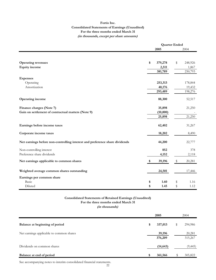#### **Fortis Inc. Consolidated Statements of Earnings (Unaudited) For the three months ended March 31 (in thousands, except per share amounts)**

|                                                                             | <b>Quarter Ended</b> |          |    |         |
|-----------------------------------------------------------------------------|----------------------|----------|----|---------|
|                                                                             |                      | 2005     |    | 2004    |
|                                                                             |                      |          |    |         |
| <b>Operating revenues</b>                                                   | \$                   | 379,278  | \$ | 248,926 |
| <b>Equity</b> income                                                        |                      | 2,511    |    | 1,867   |
|                                                                             |                      | 381,789  |    | 250,793 |
| <b>Expenses</b>                                                             |                      |          |    |         |
| Operating                                                                   |                      | 253,313  |    | 178,844 |
| Amortization                                                                |                      | 40,176   |    | 19,432  |
|                                                                             |                      | 293,489  |    | 198,276 |
| <b>Operating income</b>                                                     |                      | 88,300   |    | 52,517  |
| Finance charges (Note 7)                                                    |                      | 35,898   |    | 21,250  |
| Gain on settlement of contractual matters (Note 9)                          |                      | (10,000) |    |         |
|                                                                             |                      | 25,898   |    | 21,250  |
| Earnings before income taxes                                                |                      | 62,402   |    | 31,267  |
| Corporate income taxes                                                      |                      | 18,202   |    | 8,490   |
| Net earnings before non-controlling interest and preference share dividends |                      | 44,200   |    | 22,777  |
| Non-controlling interest                                                    |                      | 852      |    | 378     |
| Preference share dividends                                                  |                      | 4,152    |    | 2,118   |
| Net earnings applicable to common shares                                    | \$                   | 39,196   | \$ | 20,281  |
| Weighted average common shares outstanding                                  |                      | 24,501   |    | 17,446  |
| Earnings per common share                                                   |                      |          |    |         |
| <b>Basic</b>                                                                | \$                   | 1.60     | \$ | 1.16    |
| Diluted                                                                     | \$                   | 1.45     | \$ | 1.12    |

## **Consolidated Statements of Retained Earnings (Unaudited)**

**For the three months ended March 31**

**(in thousands)**

|                                          |    | 2005              |    | 2004              |  |
|------------------------------------------|----|-------------------|----|-------------------|--|
| Balance at beginning of period           | \$ | 337,013           | \$ | 294,986           |  |
| Net earnings applicable to common shares |    | 39,196<br>376,209 |    | 20,281<br>315,267 |  |
| Dividends on common shares               |    | (14, 643)         |    | (9, 445)          |  |
| Balance at end of period                 | \$ | 361,566           |    | 305,822           |  |

See accompanying notes to interim consolidated financial statements.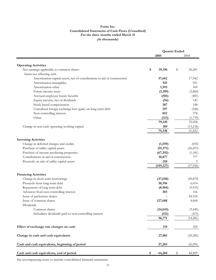#### **Fortis Inc. Consolidated Statements of Cash Flows (Unaudited) For the three months ended March 31 (in thousands)**

|                                                                          |               | <b>Quarter Ended</b> |               |
|--------------------------------------------------------------------------|---------------|----------------------|---------------|
|                                                                          | 2005          |                      | 2004          |
|                                                                          |               |                      |               |
| <b>Operating Activities</b>                                              |               |                      |               |
| Net earnings applicable to common shares<br>Items not affecting cash     | \$<br>39,196  | \$                   | 20,281        |
|                                                                          |               |                      |               |
| Amortization-capital assets, net of contributions in aid of construction | 37,662<br>921 |                      | 17,942<br>921 |
| Amortization-intangibles<br>Amortization-other                           | 1,593         |                      | 569           |
|                                                                          |               |                      |               |
| Future income taxes                                                      | (1,189)       |                      | (2,860)       |
| Accrued employee future benefits                                         | (501)         |                      | (481)         |
| Equity income, net of dividends                                          | (56)          |                      | 145           |
| Stock-based compensation                                                 | 387           |                      | 148           |
| Unrealized foreign exchange loss (gain) on long-term debt                | 397           |                      | (246)         |
| Non-controlling interest                                                 | 852           |                      | 378           |
| Other                                                                    | (113)         |                      | (1,739)       |
|                                                                          | 79,149        |                      | 35,058        |
| Change in non-cash operating working capital                             | 189           |                      | (13, 236)     |
|                                                                          | 79,338        |                      | 21,822        |
| <b>Investing Activities</b>                                              |               |                      |               |
| Change in deferred charges and credits                                   | (1, 559)      |                      | (692)         |
| Purchase of utility capital assets                                       | (91, 371)     |                      | (26, 693)     |
| Purchase of income producing properties                                  | (67, 392)     |                      | (1,341)       |
| Contributions in aid of construction                                     | 10,877        |                      | 777           |
| Proceeds on sale of utility capital assets                               | 218           |                      | 3             |
|                                                                          | (149, 227)    |                      | (27, 946)     |
| <b>Financing Activities</b>                                              |               |                      |               |
|                                                                          |               |                      |               |
| Change in short-term borrowings                                          | (37, 658)     |                      | (49, 870)     |
| Proceeds from long-term debt                                             | 30,396        |                      | 6,014         |
| Repayment of long-term debt                                              | (8,904)       |                      | (9,935)       |
| Advances from non-controlling interest                                   | 303           |                      | 166           |
| Issue of preference shares                                               |               |                      | 44,936        |
| Issue of common shares<br>Dividends                                      | 127,688       |                      | 4,068         |
| Common shares                                                            | (14, 643)     |                      | (9, 445)      |
| Subsidiary dividends paid to non-controlling interest                    | (411)         |                      | (415)         |
|                                                                          | 96,771        |                      | (14, 481)     |
|                                                                          |               |                      |               |
| Effect of exchange rate changes on cash                                  | 119           |                      | 320           |
| Change in cash and cash equivalents                                      | 27,001        |                      | (20, 285)     |
| Cash and cash equivalents, beginning of period                           | 37,203        |                      | 65,094        |
| Cash and cash equivalents, end of period                                 | \$<br>64,204  | \$                   | 44,809        |

See accompanying notes to interim consolidated financial statements.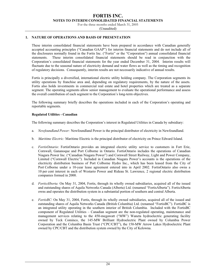For the three months ended March 31, 2005

(Unaudited)

## **1. NATURE OF OPERATIONS AND BASIS OF PRESENTATION**

These interim consolidated financial statements have been prepared in accordance with Canadian generally accepted accounting principles ("Canadian GAAP") for interim financial statements and do not include all of the disclosures normally found in the Fortis Inc. ("Fortis" or the "Corporation") annual consolidated financial statements. These interim consolidated financial statements should be read in conjunction with the Corporation's consolidated financial statements for the year ended December 31, 2004. Interim results will fluctuate due to the seasonal nature of electricity demand and water flows as well as the timing and recognition of regulatory decisions. Consequently, interim results are not necessarily indicative of annual results.

Fortis is principally a diversified, international electric utility holding company. The Corporation segments its utility operations by franchise area and, depending on regulatory requirements, by the nature of the assets. Fortis also holds investments in commercial real estate and hotel properties which are treated as a separate segment. The operating segments allow senior management to evaluate the operational performance and assess the overall contribution of each segment to the Corporation's long-term objectives.

The following summary briefly describes the operations included in each of the Corporation's operating and reportable segments.

#### **Regulated Utilities - Canadian**

The following summary describes the Corporation's interest in Regulated Utilities in Canada by subsidiary:

- a. *Newfoundland Power:* Newfoundland Power is the principal distributor of electricity in Newfoundland.
- b. *Maritime Electric:* Maritime Electric is the principal distributor of electricity on Prince Edward Island.
- c. *FortisOntario*: FortisOntario provides an integrated electric utility service to customers in Fort Erie, Cornwall, Gananoque and Port Colborne in Ontario. FortisOntario includes the operations of Canadian Niagara Power Inc. ("Canadian Niagara Power") and Cornwall Street Railway, Light and Power Company, Limited ("Cornwall Electric"). Included in Canadian Niagara Power's accounts is the operations of the electricity distribution business of Port Colborne Hydro Inc., which has been leased from the City of Port Colborne under a 10-year lease agreement entered into in April 2002. FortisOntario also owns a 10 per cent interest in each of Westario Power and Rideau St. Lawrence, 2 regional electric distribution companies formed in 2000.
- d. *FortisAlberta:* On May 31, 2004, Fortis, through its wholly owned subsidiaries, acquired all of the issued and outstanding shares of Aquila Networks Canada (Alberta) Ltd. (renamed "FortisAlberta"). FortisAlberta owns and operates the distribution system in a substantial portion of southern and central Alberta.
- e. *FortisBC*: On May 31, 2004, Fortis, through its wholly owned subsidiaries, acquired all of the issued and outstanding shares of Aquila Networks Canada (British Columbia) Ltd. (renamed "FortisBC"). FortisBC is an integrated utility operating in the southern interior of British Columbia. Included with the FortisBC component of Regulated Utilities – Canadian segment are the non-regulated operating, maintenance and management services relating to the 450-megawatt ("MW") Waneta hydroelectric generating facility owned by Teck Cominco, the 145-MW Brilliant Hydroelectric Plant owned by Columbia Power Corporation and the Columbia Basin Trust ("CPC/CBT"), the 150-MW Arrow Lakes Hydroelectric Plant owned by CPC/CBT and the distribution system owned by the City of Kelowna.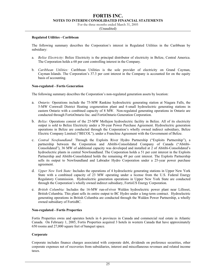For the three months ended March 31, 2005

(Unaudited)

#### **Regulated Utilities - Caribbean**

The following summary describes the Corporation's interest in Regulated Utilities in the Caribbean by subsidiary:

- a. *Belize Electricity*: Belize Electricity is the principal distributor of electricity in Belize, Central America. The Corporation holds a 68 per cent controlling interest in the Company.
- b. *Caribbean Utilities:* Caribbean Utilities is the sole provider of electricity on Grand Cayman, Cayman Islands. The Corporation's 37.3 per cent interest in the Company is accounted for on the equity basis of accounting.

#### **Non-regulated - Fortis Generation**

The following summary describes the Corporation's non-regulated generation assets by location:

- a. *Ontario:* Operations include the 75-MW Rankine hydroelectric generating station at Niagara Falls, the 5-MW Cornwall District Heating cogeneration plant and 6 small hydroelectric generating stations in eastern Ontario with a combined capacity of 8 MW. Non-regulated generating operations in Ontario are conducted through FortisOntario Inc. and FortisOntario Generation Corporation.
- b. *Belize:* Operations consist of the 25-MW Mollejon hydroelectric facility in Belize. All of its electricity output is sold to Belize Electricity under a 50-year Power Purchase Agreement. Hydroelectric generation operations in Belize are conducted through the Corporation's wholly owned indirect subsidiary, Belize Electric Company Limited ("BECOL"), under a Franchise Agreement with the Government of Belize.
- c. *Central Newfoundland:* Through the Exploits River Hydro Partnership ("Exploits Partnership"), a partnership between the Corporation and Abitibi-Consolidated Company of Canada ("Abitibi-Consolidated"), 36 MW of additional capacity was developed and installed at 2 of Abitibi-Consolidated's hydroelectric plants in central Newfoundland. The Corporation holds a 51 per cent interest in the Exploits Partnership and Abitibi-Consolidated holds the remaining 49 per cent interest. The Exploits Partnership sells its output to Newfoundland and Labrador Hydro Corporation under a 25-year power purchase agreement.
- d. *Upper New York State:* Includes the operations of 4 hydroelectric generating stations in Upper New York State with a combined capacity of 23 MW operating under a license from the U.S. Federal Energy Regulatory Commission. Hydroelectric generation operations in Upper New York State are conducted through the Corporation's wholly owned indirect subsidiary, FortisUS Energy Corporation.
- e. *British Columbia:* Includes the 16-MW run-of-river Walden hydroelectric power plant near Lillooet, British Columbia. This plant sells its entire output to BC Hydro under a long-term contract. Hydroelectric generating operations in British Columbia are conducted through the Walden Power Partnership, a wholly owned subsidiary of FortisBC.

#### **Non-regulated - Fortis Properties**

Fortis Properties owns and operates hotels in 6 provinces in Canada and commercial real estate in Atlantic Canada. On February 1, 2005, Fortis Properties acquired 3 hotels in western Canada that have approximately 650 rooms and 27,000 square feet of banquet space.

#### **Corporate**

Corporate includes finance charges associated with corporate debt, dividends on preference securities, other corporate expenses net of recoveries from subsidiaries, interest and miscellaneous revenues and related income taxes.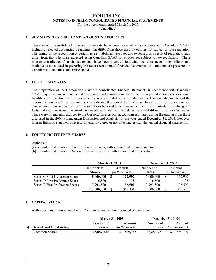For the three months ended March 31, 2005

(Unaudited)

## **2. SUMMARY OF SIGNIFICANT ACCOUNTING POLICIES**

These interim consolidated financial statements have been prepared in accordance with Canadian GAAP, including selected accounting treatments that differ from those used by entities not subject to rate regulation. The timing of the recognition of certain assets, liabilities, revenues and expenses, as a result of regulation, may differ from that otherwise expected using Canadian GAAP for entities not subject to rate regulation. These interim consolidated financial statements have been prepared following the same accounting policies and methods as those used in preparing the most recent annual financial statements. All amounts are presented in Canadian dollars unless otherwise stated.

#### **3. USE OF ESTIMATES**

The preparation of the Corporation's interim consolidated financial statements in accordance with Canadian GAAP requires management to make estimates and assumptions that affect the reported amounts of assets and liabilities and the disclosure of contingent assets and liabilities at the date of the financial statements and the reported amounts of revenue and expenses during the period. Estimates are based on historical experience, current conditions and various other assumptions believed to be reasonable under the circumstances. Changes in facts and circumstances may result in revised estimates and actual results could differ from those estimates. There were no material changes to the Corporation's critical accounting estimates during the quarter from those disclosed in the 2004 Management Discussion and Analysis for the year ended December 31, 2004; however, interim financial statements necessarily employ a greater use of estimates than the annual financial statements.

#### **4. EQUITY PREFERENCE SHARES**

Authorized:

- (a) an unlimited number of First Preference Shares, without nominal or par value; and
- (b) an unlimited number of Second Preference Shares, without nominal or par value.

|                                  | <b>March 31, 2005</b> |   |                | December 31, 2004 |                |
|----------------------------------|-----------------------|---|----------------|-------------------|----------------|
|                                  | Number of             |   | Amount         | Number of         | Amount         |
|                                  | <b>Shares</b>         |   | (in thousands) | <b>Shares</b>     | (in thousands) |
| Series C First Preference Shares | 5,000,000             | S | 122,992        | 5,000,000         | 122,992        |
| Series D First Preference Shares | 6.500                 |   | 38             | 6,500             | 38             |
| Series E First Preference Shares | 7,993,500             |   | 196,500        | 7,993,500         | 196,500        |
|                                  | 13,000,000            | S | 319,530        | 13,000,000        | 319,530        |

#### **5. CAPITAL STOCK**

Authorized: an unlimited number of Common Shares without nominal or par value:

|    |                               | <b>March 31, 2005</b> |                |               | December 31, 2004 |
|----|-------------------------------|-----------------------|----------------|---------------|-------------------|
|    |                               | Number of             | Amount         | Number of     | Amount            |
| a) | <b>Issued and Outstanding</b> | <b>Shares</b>         | (in thousands) | <b>Shares</b> | (in thousands)    |
|    | Common Shares                 | 25,687,520            | 805,063        | 23,882,323    | 675.215           |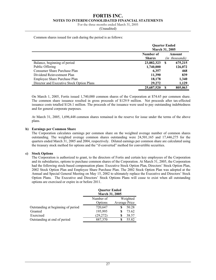For the three months ended March 31, 2005

(Unaudited)

Common shares issued for cash during the period is as follows:

|                                           |                            | <b>Ouarter Ended</b><br><b>March 31, 2005</b> |
|-------------------------------------------|----------------------------|-----------------------------------------------|
|                                           | Number of<br><b>Shares</b> | Amount<br>(in thousands)                      |
| Balance, beginning of period              | 23,882,323                 | 675,215<br>S                                  |
| Public Offering                           | 1,740,000                  | 126,072                                       |
| Consumer Share Purchase Plan              | 6,357                      | 468                                           |
| Dividend Reinvestment Plan                | 11,390                     | 839                                           |
| Employee Share Purchase Plan              | 18,178                     | 1,340                                         |
| Director and Executive Stock Option Plans | 29,272                     | 1,129                                         |
|                                           | 25,687,520                 | 805,063                                       |

On March 1, 2005, Fortis issued 1,740,000 common shares of the Corporation at \$74.65 per common share. The common share issuance resulted in gross proceeds of \$129.9 million. Net proceeds after tax-effected issuance costs totalled \$126.1 million. The proceeds of the issuance were used to pay outstanding indebtedness and for general corporate purposes.

At March 31, 2005, 1,696,448 common shares remained in the reserve for issue under the terms of the above plans.

## **b) Earnings per Common Share**

The Corporation calculates earnings per common share on the weighted average number of common shares outstanding. The weighted average common shares outstanding were 24,501,165 and 17,446,275 for the quarters ended March 31, 2005 and 2004, respectively. Diluted earnings per common share are calculated using the treasury stock method for options and the "if-converted" method for convertible securities.

#### **c) Stock Options**

The Corporation is authorized to grant, to the directors of Fortis and certain key employees of the Corporation and its subsidiaries, options to purchase common shares of the Corporation. At March 31, 2005, the Corporation had the following stock-based compensation plans: Executive Stock Option Plan, Directors' Stock Option Plan, 2002 Stock Option Plan and Employee Share Purchase Plan. The 2002 Stock Option Plan was adopted at the Annual and Special General Meeting on May 15, 2002 to ultimately replace the Executive and Directors' Stock Option Plans. The Executive and Directors' Stock Options Plans will cease to exist when all outstanding options are exercised or expire in or before 2011.

|                                    | <b>Quarter Ended</b><br>March 31, 2005 |               |
|------------------------------------|----------------------------------------|---------------|
|                                    | Number of                              | Weighted      |
|                                    | Options                                | Average Price |
| Outstanding at beginning of period | 720,647                                | 50.28         |
| Granted                            | 195,995                                | 73.62<br>S    |
| Exercised                          | (29, 272)                              | 38.57<br>S    |
| Outstanding at end of period       | 887,370                                | 55.82<br>S    |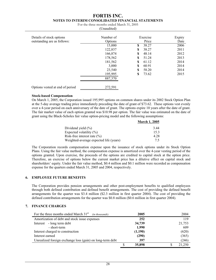|  | For the three months ended March 31, 2005 |
|--|-------------------------------------------|
|--|-------------------------------------------|

| (Unaudited) |
|-------------|
|-------------|

| Details of stock options        | Number of |    | Exercise | Expiry |
|---------------------------------|-----------|----|----------|--------|
| outstanding are as follows:     | Options   |    | Price    | Date   |
|                                 | 15,000    | S  | 38.27    | 2006   |
|                                 | 122,837   | \$ | 38.27    | 2011   |
|                                 | 166,874   | S  | 48.14    | 2012   |
|                                 | 178,562   | S  | 51.24    | 2013   |
|                                 | 181,562   | S  | 61.12    | 2014   |
|                                 | 3,000     | S  | 60.91    | 2014   |
|                                 | 23,540    | \$ | 58.20    | 2014   |
|                                 | 195,995   | \$ | 73.62    | 2015   |
|                                 | 887,370   |    |          |        |
| Options vested at end of period | 272,591   |    |          |        |

#### **Stock-based Compensation**

On March 1, 2005, the Corporation issued 195,995 options on common shares under its 2002 Stock Option Plan at the 5-day average trading price immediately preceding the date of grant of \$73.62. These options vest evenly over a 4-year period on each anniversary of the date of grant. The options expire 10 years after the date of grant. The fair market value of each option granted was \$10.98 per option. The fair value was estimated on the date of grant using the Black-Scholes fair value option-pricing model and the following assumptions:

|                                        | <b>March 1, 2005</b> |
|----------------------------------------|----------------------|
| Dividend yield $(\% )$                 | 3.44                 |
| Expected volatility $(\%)$             | 15.3                 |
| Risk-free interest rate $(\% )$        | 4.28                 |
| Weighted-average expected life (years) | 75                   |

The Corporation records compensation expense upon the issuance of stock options under its Stock Option Plans. Using the fair value method, the compensation expense is amortized over the 4-year vesting period of the options granted. Upon exercise, the proceeds of the options are credited to capital stock at the option price. Therefore, an exercise of options below the current market price has a dilutive effect on capital stock and shareholders' equity. Under the fair value method, \$0.4 million and \$0.1 million were recorded as compensation expense for the quarters ended March 31, 2005 and 2004, respectively.

## **6. EMPLOYEE FUTURE BENEFITS**

The Corporation provides pension arrangements and other post-employment benefits to qualified employees through both defined contribution and defined benefit arrangements. The cost of providing the defined benefit arrangements for the quarter was \$3.4 million (\$2.3 million in first quarter 2004). The cost of providing the defined contribution arrangements for the quarter was \$0.8 million (\$0.6 million in first quarter 2004).

## **7. FINANCE CHARGES**

| For the three months ended March 31 <sup>st</sup><br>(in thousands) | 2005    |   | 2004   |
|---------------------------------------------------------------------|---------|---|--------|
| Amortization of debt and stock issue expenses                       | 252     |   | 119    |
| Interest - long term debt                                           | 34,739  |   | 21,753 |
| - short-term                                                        | 1,990   |   | 609    |
| Interest charged to construction                                    | (1,190) |   | (620)  |
| Interest earned                                                     | (290)   |   | (365)  |
| Unrealized foreign exchange loss (gain) on long-term debt           | 397     |   | (246)  |
|                                                                     | 35,898  | Φ | 21,250 |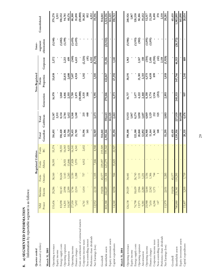Information by reportable segment is as follows: Information by reportable segment is as follows:

| Quarter ended                             |                |          |         | <b>Regulated Utilities</b> |         |           |           |            | Non-Regulated |                               | Inter-      |              |
|-------------------------------------------|----------------|----------|---------|----------------------------|---------|-----------|-----------|------------|---------------|-------------------------------|-------------|--------------|
| (in thousands of dollars)                 | N <sub>H</sub> | Maritime | Fortis  | Fortis                     | Fortis  | Total     | Total     |            | Fortis        |                               | segment     | Consolidated |
| March 31, 2005                            | Power          | Electric | Ontario | Alberta                    | BC      | Canadian  | Caribbean | Generation | Properties    | Corporate                     | elimination |              |
|                                           |                |          |         |                            |         |           |           |            |               |                               |             |              |
| Operating revenues                        | 135,436        | 29,286   | 38,160  | 58,595                     | 55,374  | 316,851   | 15,387    | 16,970     | 33,038        | 2,572                         | (5,540)     | 379,278      |
| Equity income                             |                |          |         |                            |         |           | 2,511     |            |               |                               |             | 2,511        |
| Energy supply costs                       | 83,098         | 18,143   | 30,624  |                            | 18,555  | 150,420   | 8,134     | 1,860      |               |                               | (1, 882)    | 158,532      |
| Operating expenses                        | 14,201         | 2,998    | 3,143   | 26,921                     | 16,043  | 63,306    | 2,784     | 4,846      | 22,831        | 2,213                         | (1,199)     | 94,781       |
| Amortization                              | 10,587         | 2,399    | 1,243   | 13,846                     | 4,635   | 32,710    | 1,612     | 2,555      | 2,600         | 699                           |             | 40,176       |
| Operating income                          | 27,550         | 5,746    | 3,150   | 17,828                     | 16,141  | 70,415    | 5,368     | 7,709      | 7,607         | (340)                         | (2,459)     | 88,300       |
| Finance charges                           | 7,692          | 2,214    | 1,288   | 5,970                      | 4,541   | 21,705    | 1,240     | 3,875      | 4,924         | 6,613                         | (2,459)     | 35,898       |
| Gain on settlement of contractual matters |                |          |         |                            |         |           |           | (10,000)   |               |                               |             | (10,000)     |
| Corporate income taxes                    | 6,761          | 1,414    | 757     | 4,012                      | 2,652   | 15,596    | 215       | 3,535      | 1,182         | (2,326)                       |             | 18,202       |
| Non-controlling interest                  | 145            |          |         |                            |         | 145       | 440       | 308        |               | (41)                          |             | 852          |
| Preference share dividends                |                |          |         |                            |         |           |           |            |               | 4,152                         |             | 4,152        |
| Net Earnings (loss)                       | 12,952         | 2,118    | ,105    | 7,846                      | 8,948   | 32,969    | 3,473     | 9,991      | 1,501         | (8,738)                       |             | 39,196       |
| Goodwill                                  |                | 19,858   | 45,577  | 229,097                    | 219,509 | 514,041   |           |            |               |                               |             | 514,041      |
| Identifiable assets                       | 803,388        | 244,649  | 121,308 | 623,279                    | 599,542 | 2,392,166 | 198,643   | 279,046    | 422,867       | 53,356                        | (21,922)    | 3,324,156    |
| Equity investment assets                  |                |          |         |                            |         |           | 161,325   |            |               |                               |             | 161,325      |
| Capital expenditures                      | 14,540         | 8,958    | 944     | 33,825                     | 22,927  | 81,194    | 2,463     | 6,573      | 67,392        | 1,141                         |             | 158,763      |
| March 31, 2004                            |                |          |         |                            |         |           |           |            |               |                               |             |              |
| Operating revenues                        | 126,138        | 29,529   | 34,441  |                            |         | 190,108   | 15,933    | 16,717     | 30,191        | 1,963                         | (5,986)     | 248,926      |
| Equity income                             |                |          |         |                            |         |           | 1,867     |            |               |                               |             | 1,867        |
| Energy supply costs                       | 76,798         | 18,639   | 26,743  |                            |         | 122,180   | 8,274     | 1,677      |               |                               | (3,593)     | 128,538      |
| Operating expenses                        | 13,971         | 2,966    | 3,131   |                            |         | 20,068    | 3,050     | 4,222      | 21,301        | 2,167                         | (502)       | 50,306       |
| Amortization                              | 9,381          | 2,280    | 1,231   |                            |         | 12,892    | 1,607     | 2,468      | 2,315         | 150                           |             | 19,432       |
| Operating income                          | 25,988         | 5,644    | 3,336   |                            |         | 34,968    | 4,869     | 8,350      | 6,575         | (354)                         | (1, 891)    | 52,517       |
| Finance charges                           | 7,616          | 2,242    | 1,306   |                            |         | 11,164    | 1,129     | 3,774      | 4,658         | 2,416                         | (1, 891)    | 21,250       |
| Corporate income taxes                    | 6,246          | 1,371    | 744     |                            |         | 8,361     | 212       | 1,936      | 899           | (2,918)                       |             | 8,490        |
| Non-controlling interest                  | 147            |          |         |                            |         | 148       | 525       | (253)      |               | $\left( \frac{42}{5} \right)$ |             | 378          |
| Preference share dividends                |                |          |         |                            |         |           |           |            |               | 2,118                         |             | 2,118        |
| Net Earnings (loss)                       | 1,979          | 2,031    | 285     |                            |         | 15,295    | 3,003     | 2,893      | 1,018         | (1,928)                       |             | 20,281       |
| Goodwill                                  |                | 19,858   | 45,577  |                            |         | 65,435    |           |            |               |                               |             | 65,435       |
| Identifiable assets                       | 780,880        | 235,341  | 119,295 |                            |         | 1,135,516 | 227,939   | 245,533    | 347,766       | 46,513                        | (20,172)    | 1,983,095    |
| Equity investment assets                  |                |          |         |                            |         |           | 165,090   |            |               |                               |             | 165,090      |
| Capital expenditures                      | 15,407         | 3,205    | 1,719   |                            |         | 20,331    | 4,476     | 997        | 1,341         | 889                           |             | 28,034       |

29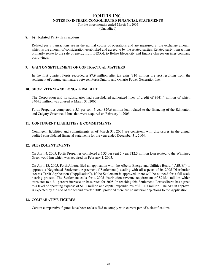For the three months ended March 31, 2005

(Unaudited)

#### **8. b) Related Party Transactions**

Related party transactions are in the normal course of operations and are measured at the exchange amount, which is the amount of consideration established and agreed to by the related parties. Related party transactions primarily relate to the sale of energy from BECOL to Belize Electricity and finance charges on inter-company borrowings.

#### **9. GAIN ON SETTLEMENT OF CONTRACTUAL MATTERS**

In the first quarter, Fortis recorded a \$7.9 million after-tax gain (\$10 million pre-tax) resulting from the settlement of contractual matters between FortisOntario and Ontario Power Generation Inc.

#### **10. SHORT-TERM AND LONG-TERM DEBT**

The Corporation and its subsidiaries had consolidated authorized lines of credit of \$641.4 million of which \$404.2 million was unused at March 31, 2005.

Fortis Properties completed a 5.1 per cent 5-year \$29.6 million loan related to the financing of the Edmonton and Calgary Greenwood Inns that were acquired on February 1, 2005.

#### **11. CONTINGENT LIABILITIES & COMMITMENTS**

Contingent liabilities and commitments as of March 31, 2005 are consistent with disclosures in the annual audited consolidated financial statements for the year ended December 31, 2004.

#### **12. SUBSEQUENT EVENTS**

On April 4, 2005, Fortis Properties completed a 5.35 per cent 5-year \$12.3 million loan related to the Winnipeg Greenwood Inn which was acquired on February 1, 2005.

On April 13, 2005, FortisAlberta filed an application with the Alberta Energy and Utilities Board ("AEUB") to approve a Negotiated Settlement Agreement ("Settlement") dealing with all aspects of its 2005 Distribution Access Tariff Application ("Application"). If the Settlement is approved, there will be no need for a full-scale hearing process. The Settlement calls for a 2005 distribution revenue requirement of \$215.4 million which translates to a 2.1 percent increase on base rates for 2005. In reaching this Settlement, FortisAlberta has agreed to a level of operating expense of \$101 million and capital expenditures of \$134.3 million. The AEUB approval is expected by the end of the second quarter 2005, provided there are no material objections to the Application.

#### **13. COMPARATIVE FIGURES**

Certain comparative figures have been reclassified to comply with current period's classifications.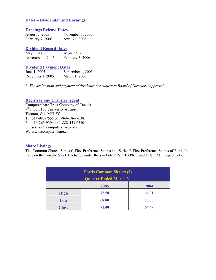## **Dates – Dividends\* and Earnings**

## **Earnings Release Dates**

| August 5, 2005   | November 1, 2005 |
|------------------|------------------|
| February 7, 2006 | April 26, 2006   |

## **Dividend Record Dates**

| May 6, 2005      | August 5, 2005   |  |
|------------------|------------------|--|
| November 4, 2005 | February 3, 2006 |  |

## **Dividend Payment Dates**

| June 1, 2005     | September 1, 2005 |
|------------------|-------------------|
| December 1, 2005 | March 1, 2006     |

*\* The declaration and payment of dividends are subject to Board of Directors' approval.* 

## **Registrar and Transfer Agent**

Computershare Trust Company of Canada 9<sup>th</sup> Floor, 100 University Avenue Toronto, ON M5J 2Y1 T: 514-982-7555 or 1-866-586-7638 F: 416-263-9394 or 1-888-453-0330 E: service@computershare.com

W: www.computershare.com

## **Share Listings**

The Common Shares, Series C First Preference Shares and Series E First Preference Shares of Fortis Inc. trade on the Toronto Stock Exchange under the symbols FTS, FTS.PR.C and FTS.PR.E, respectively.

| <b>Fortis Common Shares (\$)</b> |       |       |
|----------------------------------|-------|-------|
| <b>Quarter Ended March 31</b>    |       |       |
|                                  | 2005  | 2004  |
| <b>High</b>                      | 75.50 | 64.91 |
| Low                              | 68.00 | 58.00 |
| <b>Close</b>                     | 71.40 | 64.49 |